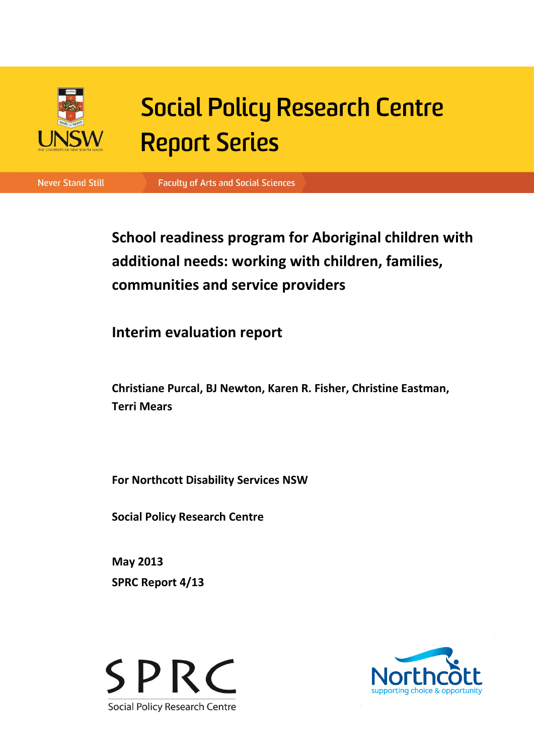

# **Social Policy Research Centre Report Series**

**Never Stand Still** 

**Faculty of Arts and Social Sciences** 

**School readiness program for Aboriginal children with additional needs: working with children, families, communities and service providers**

**Interim evaluation report**

**Christiane Purcal, BJ Newton, Karen R. Fisher, Christine Eastman, Terri Mears**

**For Northcott Disability Services NSW**

**Social Policy Research Centre**

**May 2013 SPRC Report 4/13**



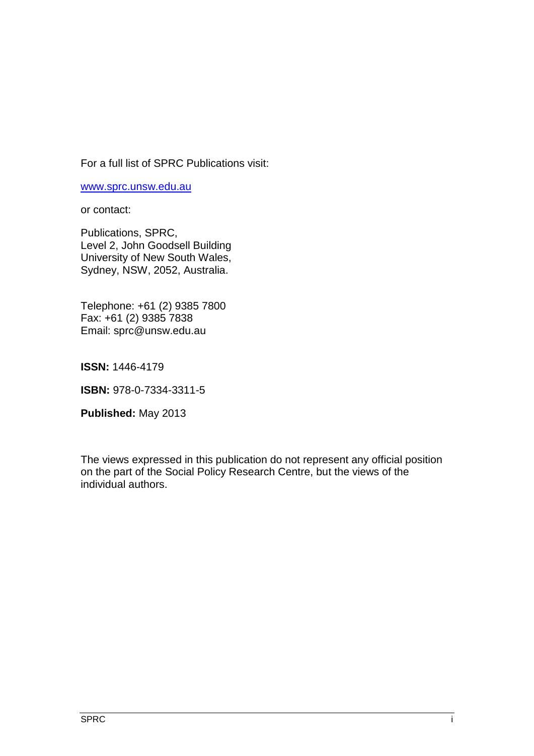For a full list of SPRC Publications visit:

[www.sprc.unsw.edu.au](http://www.sprc.unsw.edu.au/)

or contact:

Publications, SPRC, Level 2, John Goodsell Building University of New South Wales, Sydney, NSW, 2052, Australia.

Telephone: +61 (2) 9385 7800 Fax: +61 (2) 9385 7838 Email: sprc@unsw.edu.au

**ISSN:** 1446-4179

**ISBN:** 978-0-7334-3311-5

**Published:** May 2013

The views expressed in this publication do not represent any official position on the part of the Social Policy Research Centre, but the views of the individual authors.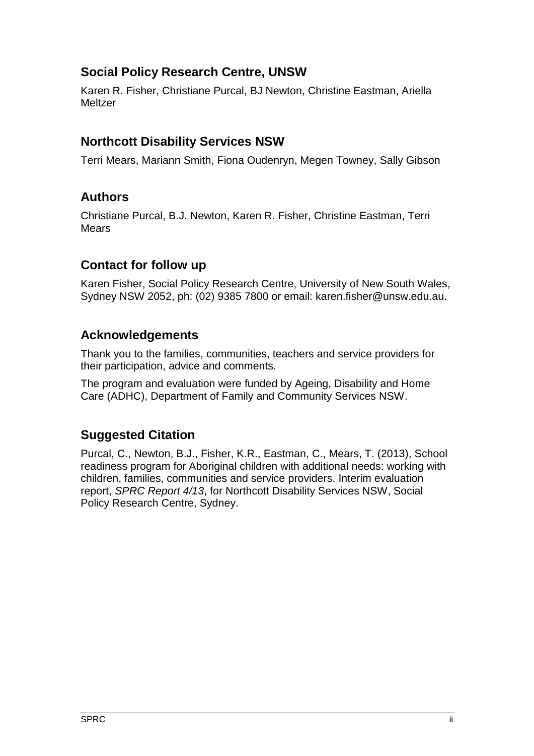# **Social Policy Research Centre, UNSW**

Karen R. Fisher, Christiane Purcal, BJ Newton, Christine Eastman, Ariella **Meltzer** 

# **Northcott Disability Services NSW**

Terri Mears, Mariann Smith, Fiona Oudenryn, Megen Towney, Sally Gibson

# **Authors**

Christiane Purcal, B.J. Newton, Karen R. Fisher, Christine Eastman, Terri **Mears** 

# **Contact for follow up**

Karen Fisher, Social Policy Research Centre, University of New South Wales, Sydney NSW 2052, ph: (02) 9385 7800 or email: karen.fisher@unsw.edu.au.

# **Acknowledgements**

Thank you to the families, communities, teachers and service providers for their participation, advice and comments.

The program and evaluation were funded by Ageing, Disability and Home Care (ADHC), Department of Family and Community Services NSW.

# **Suggested Citation**

Purcal, C., Newton, B.J., Fisher, K.R., Eastman, C., Mears, T. (2013), School readiness program for Aboriginal children with additional needs: working with children, families, communities and service providers. Interim evaluation report, *SPRC Report 4/13*, for Northcott Disability Services NSW, Social Policy Research Centre, Sydney.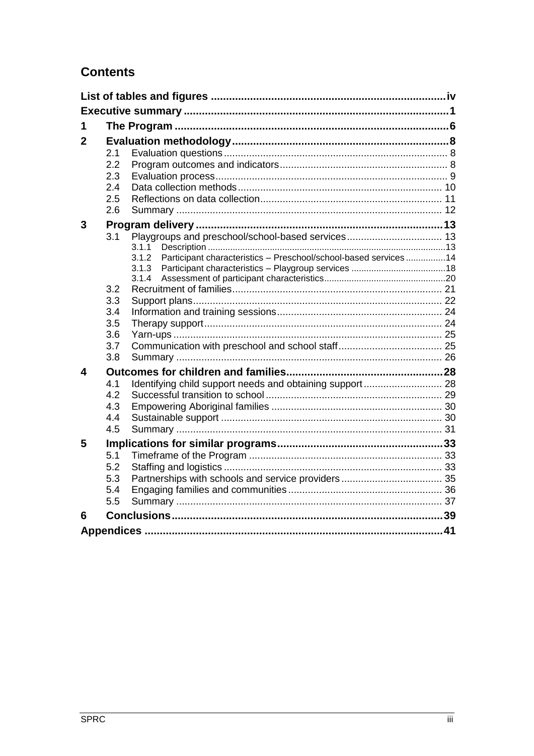# **Contents**

| 1<br>2<br>2.1<br>2.2<br>2.3<br>2.4<br>2.5<br>2.6<br>3<br>Playgroups and preschool/school-based services 13<br>3.1<br>3.1.1<br>Participant characteristics - Preschool/school-based services 14<br>3.1.2<br>3.1.3<br>3.1.4<br>3.2<br>3.3<br>3.4<br>3.5<br>3.6<br>3.7<br>3.8<br>4<br>4.1<br>Identifying child support needs and obtaining support 28<br>4.2<br>4.3<br>4.4<br>4.5<br>5<br>5.1<br>5.2<br>5.3<br>5.4<br>5.5<br>6 |  |  |  |  |
|-----------------------------------------------------------------------------------------------------------------------------------------------------------------------------------------------------------------------------------------------------------------------------------------------------------------------------------------------------------------------------------------------------------------------------|--|--|--|--|
|                                                                                                                                                                                                                                                                                                                                                                                                                             |  |  |  |  |
|                                                                                                                                                                                                                                                                                                                                                                                                                             |  |  |  |  |
|                                                                                                                                                                                                                                                                                                                                                                                                                             |  |  |  |  |
|                                                                                                                                                                                                                                                                                                                                                                                                                             |  |  |  |  |
|                                                                                                                                                                                                                                                                                                                                                                                                                             |  |  |  |  |
|                                                                                                                                                                                                                                                                                                                                                                                                                             |  |  |  |  |
|                                                                                                                                                                                                                                                                                                                                                                                                                             |  |  |  |  |
|                                                                                                                                                                                                                                                                                                                                                                                                                             |  |  |  |  |
|                                                                                                                                                                                                                                                                                                                                                                                                                             |  |  |  |  |
|                                                                                                                                                                                                                                                                                                                                                                                                                             |  |  |  |  |
|                                                                                                                                                                                                                                                                                                                                                                                                                             |  |  |  |  |
|                                                                                                                                                                                                                                                                                                                                                                                                                             |  |  |  |  |
|                                                                                                                                                                                                                                                                                                                                                                                                                             |  |  |  |  |
|                                                                                                                                                                                                                                                                                                                                                                                                                             |  |  |  |  |
|                                                                                                                                                                                                                                                                                                                                                                                                                             |  |  |  |  |
|                                                                                                                                                                                                                                                                                                                                                                                                                             |  |  |  |  |
|                                                                                                                                                                                                                                                                                                                                                                                                                             |  |  |  |  |
|                                                                                                                                                                                                                                                                                                                                                                                                                             |  |  |  |  |
|                                                                                                                                                                                                                                                                                                                                                                                                                             |  |  |  |  |
|                                                                                                                                                                                                                                                                                                                                                                                                                             |  |  |  |  |
|                                                                                                                                                                                                                                                                                                                                                                                                                             |  |  |  |  |
|                                                                                                                                                                                                                                                                                                                                                                                                                             |  |  |  |  |
|                                                                                                                                                                                                                                                                                                                                                                                                                             |  |  |  |  |
|                                                                                                                                                                                                                                                                                                                                                                                                                             |  |  |  |  |
|                                                                                                                                                                                                                                                                                                                                                                                                                             |  |  |  |  |
|                                                                                                                                                                                                                                                                                                                                                                                                                             |  |  |  |  |
|                                                                                                                                                                                                                                                                                                                                                                                                                             |  |  |  |  |
|                                                                                                                                                                                                                                                                                                                                                                                                                             |  |  |  |  |
|                                                                                                                                                                                                                                                                                                                                                                                                                             |  |  |  |  |
|                                                                                                                                                                                                                                                                                                                                                                                                                             |  |  |  |  |
|                                                                                                                                                                                                                                                                                                                                                                                                                             |  |  |  |  |
|                                                                                                                                                                                                                                                                                                                                                                                                                             |  |  |  |  |
|                                                                                                                                                                                                                                                                                                                                                                                                                             |  |  |  |  |
|                                                                                                                                                                                                                                                                                                                                                                                                                             |  |  |  |  |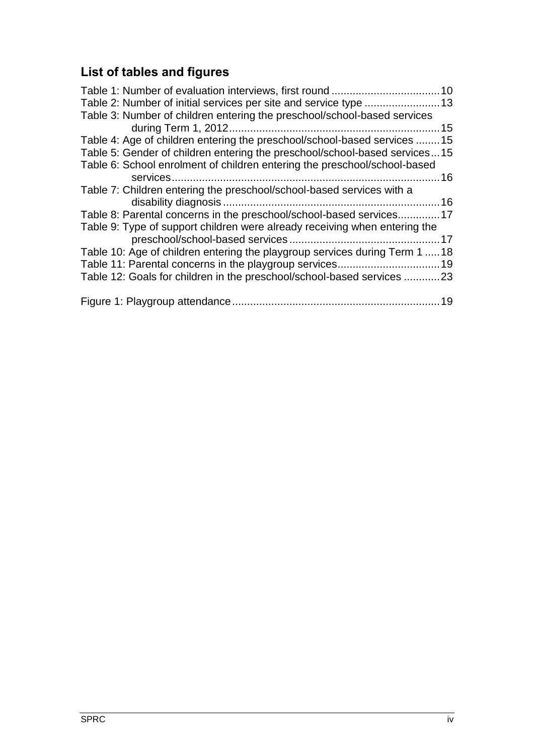# <span id="page-4-0"></span>**List of tables and figures**

| Table 3: Number of children entering the preschool/school-based services    |  |
|-----------------------------------------------------------------------------|--|
|                                                                             |  |
| Table 4: Age of children entering the preschool/school-based services 15    |  |
| Table 5: Gender of children entering the preschool/school-based services15  |  |
| Table 6: School enrolment of children entering the preschool/school-based   |  |
|                                                                             |  |
| Table 7: Children entering the preschool/school-based services with a       |  |
|                                                                             |  |
| Table 8: Parental concerns in the preschool/school-based services17         |  |
| Table 9: Type of support children were already receiving when entering the  |  |
|                                                                             |  |
| Table 10: Age of children entering the playgroup services during Term 1  18 |  |
|                                                                             |  |
| Table 12: Goals for children in the preschool/school-based services 23      |  |
|                                                                             |  |
|                                                                             |  |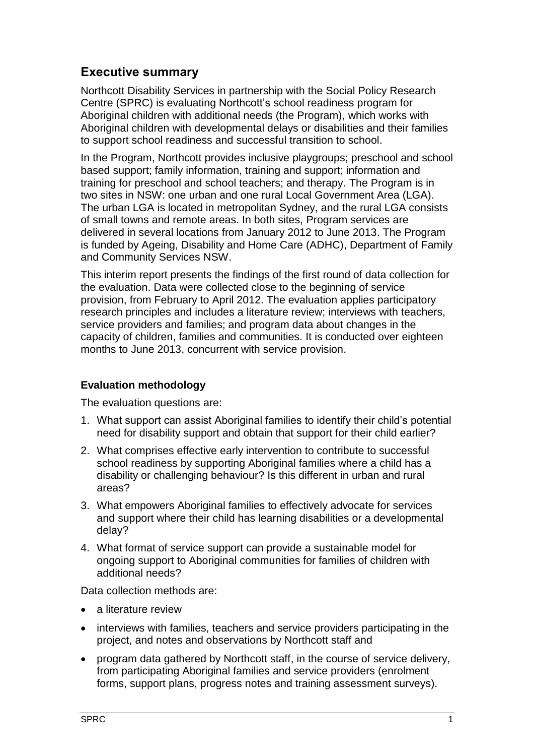# <span id="page-5-0"></span>**Executive summary**

Northcott Disability Services in partnership with the Social Policy Research Centre (SPRC) is evaluating Northcott's school readiness program for Aboriginal children with additional needs (the Program), which works with Aboriginal children with developmental delays or disabilities and their families to support school readiness and successful transition to school.

In the Program, Northcott provides inclusive playgroups; preschool and school based support; family information, training and support; information and training for preschool and school teachers; and therapy. The Program is in two sites in NSW: one urban and one rural Local Government Area (LGA). The urban LGA is located in metropolitan Sydney, and the rural LGA consists of small towns and remote areas. In both sites, Program services are delivered in several locations from January 2012 to June 2013. The Program is funded by Ageing, Disability and Home Care (ADHC), Department of Family and Community Services NSW.

This interim report presents the findings of the first round of data collection for the evaluation. Data were collected close to the beginning of service provision, from February to April 2012. The evaluation applies participatory research principles and includes a literature review; interviews with teachers, service providers and families; and program data about changes in the capacity of children, families and communities. It is conducted over eighteen months to June 2013, concurrent with service provision.

## **Evaluation methodology**

The evaluation questions are:

- 1. What support can assist Aboriginal families to identify their child's potential need for disability support and obtain that support for their child earlier?
- 2. What comprises effective early intervention to contribute to successful school readiness by supporting Aboriginal families where a child has a disability or challenging behaviour? Is this different in urban and rural areas?
- 3. What empowers Aboriginal families to effectively advocate for services and support where their child has learning disabilities or a developmental delay?
- 4. What format of service support can provide a sustainable model for ongoing support to Aboriginal communities for families of children with additional needs?

Data collection methods are:

- a literature review
- interviews with families, teachers and service providers participating in the project, and notes and observations by Northcott staff and
- program data gathered by Northcott staff, in the course of service delivery, from participating Aboriginal families and service providers (enrolment forms, support plans, progress notes and training assessment surveys).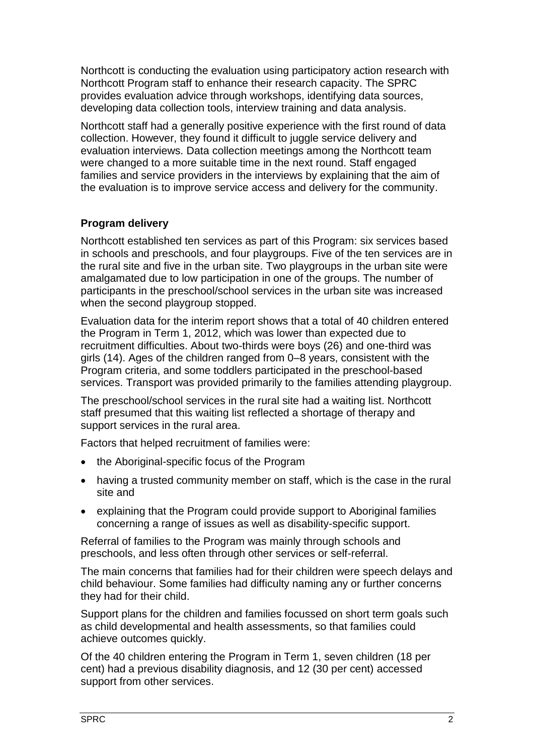Northcott is conducting the evaluation using participatory action research with Northcott Program staff to enhance their research capacity. The SPRC provides evaluation advice through workshops, identifying data sources, developing data collection tools, interview training and data analysis.

Northcott staff had a generally positive experience with the first round of data collection. However, they found it difficult to juggle service delivery and evaluation interviews. Data collection meetings among the Northcott team were changed to a more suitable time in the next round. Staff engaged families and service providers in the interviews by explaining that the aim of the evaluation is to improve service access and delivery for the community.

## **Program delivery**

Northcott established ten services as part of this Program: six services based in schools and preschools, and four playgroups. Five of the ten services are in the rural site and five in the urban site. Two playgroups in the urban site were amalgamated due to low participation in one of the groups. The number of participants in the preschool/school services in the urban site was increased when the second playgroup stopped.

Evaluation data for the interim report shows that a total of 40 children entered the Program in Term 1, 2012, which was lower than expected due to recruitment difficulties. About two-thirds were boys (26) and one-third was girls (14). Ages of the children ranged from 0–8 years, consistent with the Program criteria, and some toddlers participated in the preschool-based services. Transport was provided primarily to the families attending playgroup.

The preschool/school services in the rural site had a waiting list. Northcott staff presumed that this waiting list reflected a shortage of therapy and support services in the rural area.

Factors that helped recruitment of families were:

- the Aboriginal-specific focus of the Program
- having a trusted community member on staff, which is the case in the rural site and
- explaining that the Program could provide support to Aboriginal families concerning a range of issues as well as disability-specific support.

Referral of families to the Program was mainly through schools and preschools, and less often through other services or self-referral.

The main concerns that families had for their children were speech delays and child behaviour. Some families had difficulty naming any or further concerns they had for their child.

Support plans for the children and families focussed on short term goals such as child developmental and health assessments, so that families could achieve outcomes quickly.

Of the 40 children entering the Program in Term 1, seven children (18 per cent) had a previous disability diagnosis, and 12 (30 per cent) accessed support from other services.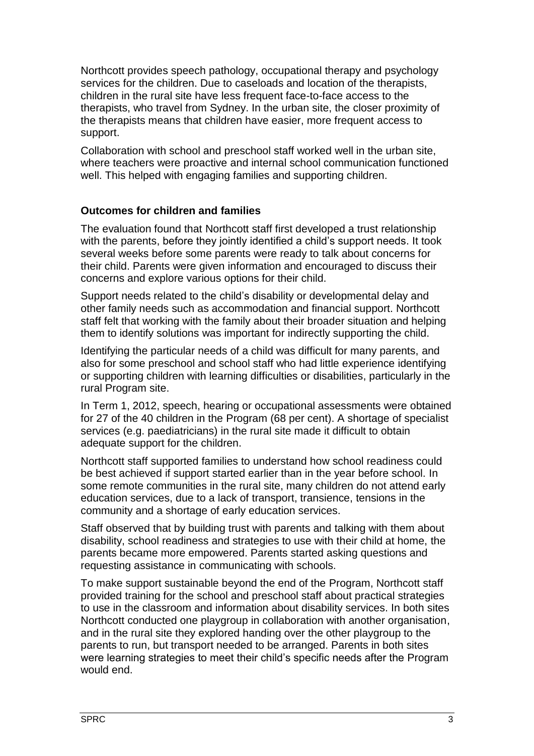Northcott provides speech pathology, occupational therapy and psychology services for the children. Due to caseloads and location of the therapists, children in the rural site have less frequent face-to-face access to the therapists, who travel from Sydney. In the urban site, the closer proximity of the therapists means that children have easier, more frequent access to support.

Collaboration with school and preschool staff worked well in the urban site, where teachers were proactive and internal school communication functioned well. This helped with engaging families and supporting children.

#### **Outcomes for children and families**

The evaluation found that Northcott staff first developed a trust relationship with the parents, before they jointly identified a child's support needs. It took several weeks before some parents were ready to talk about concerns for their child. Parents were given information and encouraged to discuss their concerns and explore various options for their child.

Support needs related to the child's disability or developmental delay and other family needs such as accommodation and financial support. Northcott staff felt that working with the family about their broader situation and helping them to identify solutions was important for indirectly supporting the child.

Identifying the particular needs of a child was difficult for many parents, and also for some preschool and school staff who had little experience identifying or supporting children with learning difficulties or disabilities, particularly in the rural Program site.

In Term 1, 2012, speech, hearing or occupational assessments were obtained for 27 of the 40 children in the Program (68 per cent). A shortage of specialist services (e.g. paediatricians) in the rural site made it difficult to obtain adequate support for the children.

Northcott staff supported families to understand how school readiness could be best achieved if support started earlier than in the year before school. In some remote communities in the rural site, many children do not attend early education services, due to a lack of transport, transience, tensions in the community and a shortage of early education services.

Staff observed that by building trust with parents and talking with them about disability, school readiness and strategies to use with their child at home, the parents became more empowered. Parents started asking questions and requesting assistance in communicating with schools.

To make support sustainable beyond the end of the Program, Northcott staff provided training for the school and preschool staff about practical strategies to use in the classroom and information about disability services. In both sites Northcott conducted one playgroup in collaboration with another organisation, and in the rural site they explored handing over the other playgroup to the parents to run, but transport needed to be arranged. Parents in both sites were learning strategies to meet their child's specific needs after the Program would end.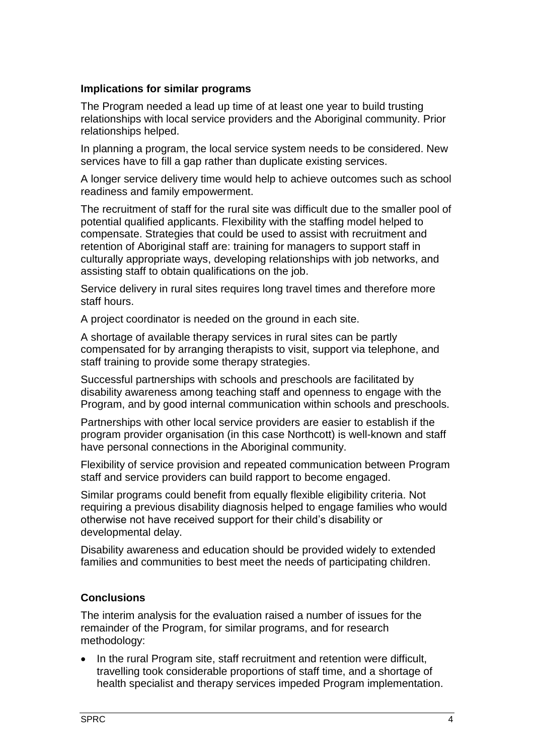#### **Implications for similar programs**

The Program needed a lead up time of at least one year to build trusting relationships with local service providers and the Aboriginal community. Prior relationships helped.

In planning a program, the local service system needs to be considered. New services have to fill a gap rather than duplicate existing services.

A longer service delivery time would help to achieve outcomes such as school readiness and family empowerment.

The recruitment of staff for the rural site was difficult due to the smaller pool of potential qualified applicants. Flexibility with the staffing model helped to compensate. Strategies that could be used to assist with recruitment and retention of Aboriginal staff are: training for managers to support staff in culturally appropriate ways, developing relationships with job networks, and assisting staff to obtain qualifications on the job.

Service delivery in rural sites requires long travel times and therefore more staff hours.

A project coordinator is needed on the ground in each site.

A shortage of available therapy services in rural sites can be partly compensated for by arranging therapists to visit, support via telephone, and staff training to provide some therapy strategies.

Successful partnerships with schools and preschools are facilitated by disability awareness among teaching staff and openness to engage with the Program, and by good internal communication within schools and preschools.

Partnerships with other local service providers are easier to establish if the program provider organisation (in this case Northcott) is well-known and staff have personal connections in the Aboriginal community.

Flexibility of service provision and repeated communication between Program staff and service providers can build rapport to become engaged.

Similar programs could benefit from equally flexible eligibility criteria. Not requiring a previous disability diagnosis helped to engage families who would otherwise not have received support for their child's disability or developmental delay.

Disability awareness and education should be provided widely to extended families and communities to best meet the needs of participating children.

#### **Conclusions**

The interim analysis for the evaluation raised a number of issues for the remainder of the Program, for similar programs, and for research methodology:

• In the rural Program site, staff recruitment and retention were difficult, travelling took considerable proportions of staff time, and a shortage of health specialist and therapy services impeded Program implementation.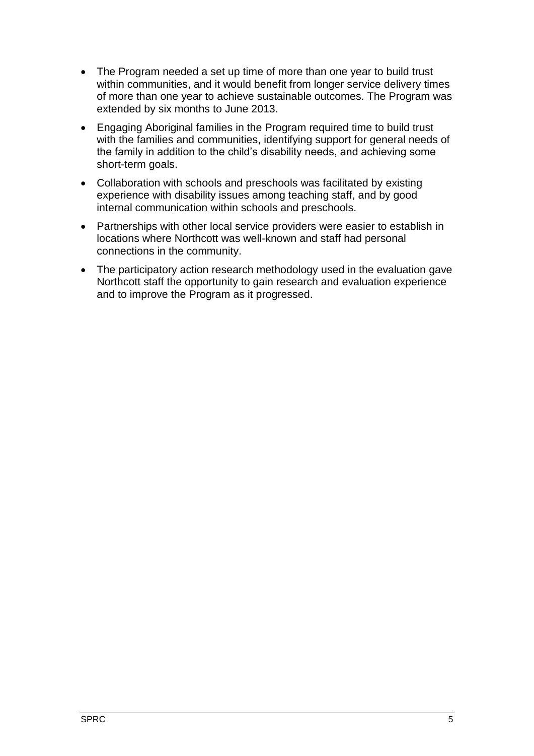- The Program needed a set up time of more than one year to build trust within communities, and it would benefit from longer service delivery times of more than one year to achieve sustainable outcomes. The Program was extended by six months to June 2013.
- Engaging Aboriginal families in the Program required time to build trust with the families and communities, identifying support for general needs of the family in addition to the child's disability needs, and achieving some short-term goals.
- Collaboration with schools and preschools was facilitated by existing experience with disability issues among teaching staff, and by good internal communication within schools and preschools.
- Partnerships with other local service providers were easier to establish in locations where Northcott was well-known and staff had personal connections in the community.
- The participatory action research methodology used in the evaluation gave Northcott staff the opportunity to gain research and evaluation experience and to improve the Program as it progressed.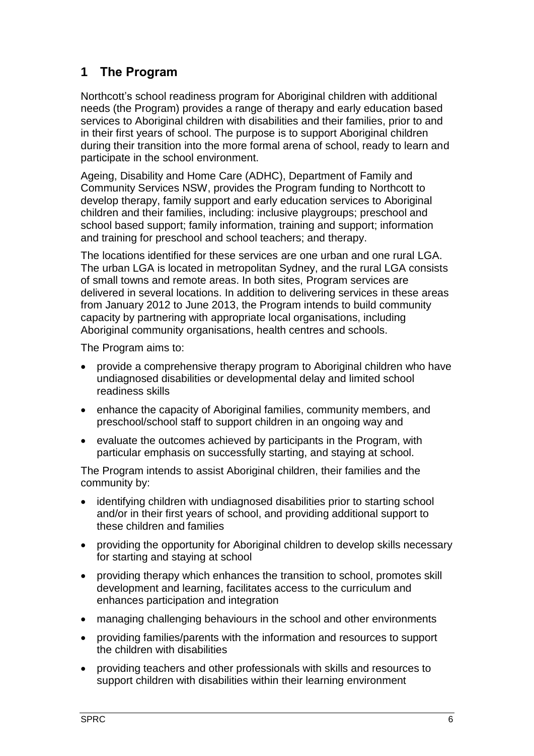# <span id="page-10-0"></span>**1 The Program**

Northcott's school readiness program for Aboriginal children with additional needs (the Program) provides a range of therapy and early education based services to Aboriginal children with disabilities and their families, prior to and in their first years of school. The purpose is to support Aboriginal children during their transition into the more formal arena of school, ready to learn and participate in the school environment.

Ageing, Disability and Home Care (ADHC), Department of Family and Community Services NSW, provides the Program funding to Northcott to develop therapy, family support and early education services to Aboriginal children and their families, including: inclusive playgroups; preschool and school based support; family information, training and support; information and training for preschool and school teachers; and therapy.

The locations identified for these services are one urban and one rural LGA. The urban LGA is located in metropolitan Sydney, and the rural LGA consists of small towns and remote areas. In both sites, Program services are delivered in several locations. In addition to delivering services in these areas from January 2012 to June 2013, the Program intends to build community capacity by partnering with appropriate local organisations, including Aboriginal community organisations, health centres and schools.

The Program aims to:

- provide a comprehensive therapy program to Aboriginal children who have undiagnosed disabilities or developmental delay and limited school readiness skills
- enhance the capacity of Aboriginal families, community members, and preschool/school staff to support children in an ongoing way and
- evaluate the outcomes achieved by participants in the Program, with particular emphasis on successfully starting, and staying at school.

The Program intends to assist Aboriginal children, their families and the community by:

- identifying children with undiagnosed disabilities prior to starting school and/or in their first years of school, and providing additional support to these children and families
- providing the opportunity for Aboriginal children to develop skills necessary for starting and staying at school
- providing therapy which enhances the transition to school, promotes skill development and learning, facilitates access to the curriculum and enhances participation and integration
- managing challenging behaviours in the school and other environments
- providing families/parents with the information and resources to support the children with disabilities
- providing teachers and other professionals with skills and resources to support children with disabilities within their learning environment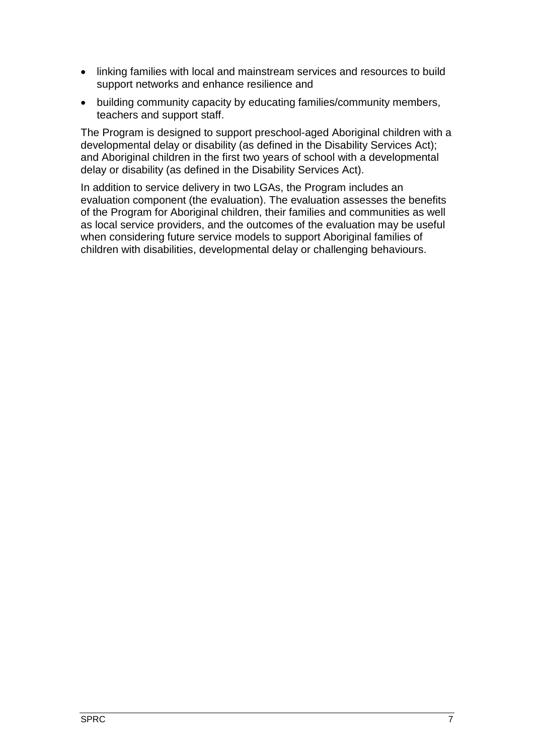- linking families with local and mainstream services and resources to build support networks and enhance resilience and
- building community capacity by educating families/community members, teachers and support staff.

The Program is designed to support preschool-aged Aboriginal children with a developmental delay or disability (as defined in the Disability Services Act); and Aboriginal children in the first two years of school with a developmental delay or disability (as defined in the Disability Services Act).

In addition to service delivery in two LGAs, the Program includes an evaluation component (the evaluation). The evaluation assesses the benefits of the Program for Aboriginal children, their families and communities as well as local service providers, and the outcomes of the evaluation may be useful when considering future service models to support Aboriginal families of children with disabilities, developmental delay or challenging behaviours.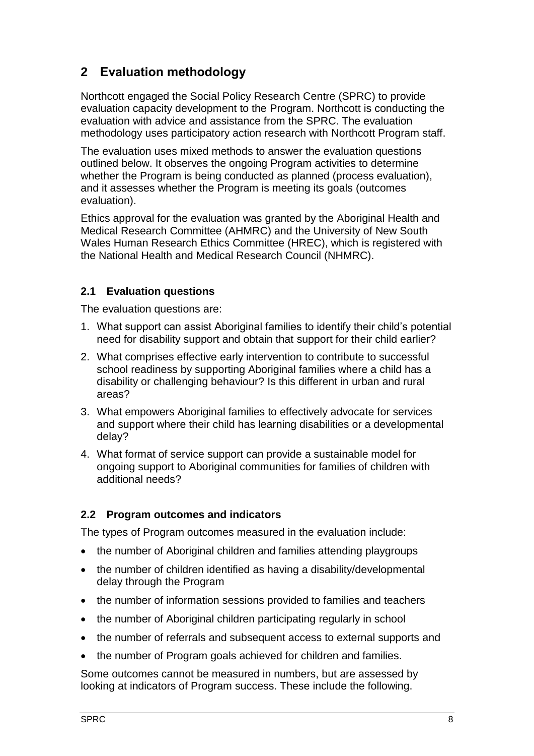# <span id="page-12-0"></span>**2 Evaluation methodology**

Northcott engaged the Social Policy Research Centre (SPRC) to provide evaluation capacity development to the Program. Northcott is conducting the evaluation with advice and assistance from the SPRC. The evaluation methodology uses participatory action research with Northcott Program staff.

The evaluation uses mixed methods to answer the evaluation questions outlined below. It observes the ongoing Program activities to determine whether the Program is being conducted as planned (process evaluation), and it assesses whether the Program is meeting its goals (outcomes evaluation).

Ethics approval for the evaluation was granted by the Aboriginal Health and Medical Research Committee (AHMRC) and the University of New South Wales Human Research Ethics Committee (HREC), which is registered with the National Health and Medical Research Council (NHMRC).

## <span id="page-12-1"></span>**2.1 Evaluation questions**

The evaluation questions are:

- 1. What support can assist Aboriginal families to identify their child's potential need for disability support and obtain that support for their child earlier?
- 2. What comprises effective early intervention to contribute to successful school readiness by supporting Aboriginal families where a child has a disability or challenging behaviour? Is this different in urban and rural areas?
- 3. What empowers Aboriginal families to effectively advocate for services and support where their child has learning disabilities or a developmental delay?
- 4. What format of service support can provide a sustainable model for ongoing support to Aboriginal communities for families of children with additional needs?

#### <span id="page-12-2"></span>**2.2 Program outcomes and indicators**

The types of Program outcomes measured in the evaluation include:

- the number of Aboriginal children and families attending playgroups
- the number of children identified as having a disability/developmental delay through the Program
- the number of information sessions provided to families and teachers
- the number of Aboriginal children participating regularly in school
- the number of referrals and subsequent access to external supports and
- the number of Program goals achieved for children and families.

Some outcomes cannot be measured in numbers, but are assessed by looking at indicators of Program success. These include the following.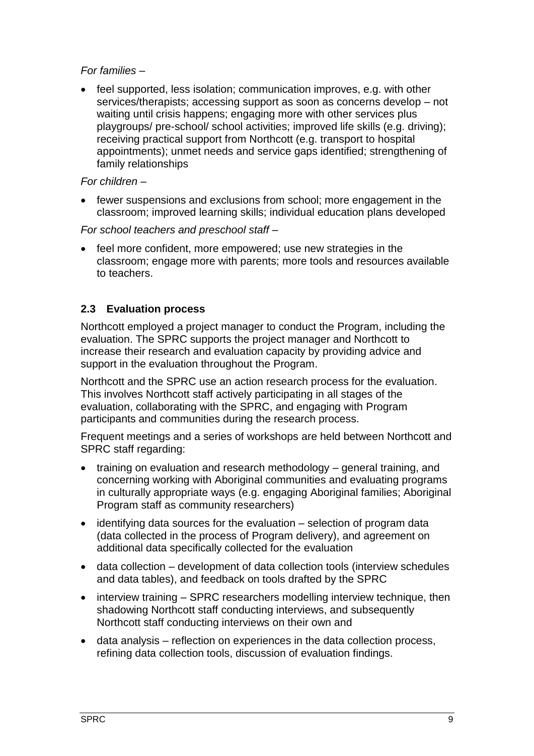#### *For families* –

 feel supported, less isolation; communication improves, e.g. with other services/therapists; accessing support as soon as concerns develop – not waiting until crisis happens; engaging more with other services plus playgroups/ pre-school/ school activities; improved life skills (e.g. driving); receiving practical support from Northcott (e.g. transport to hospital appointments); unmet needs and service gaps identified; strengthening of family relationships

#### *For children* –

 fewer suspensions and exclusions from school; more engagement in the classroom; improved learning skills; individual education plans developed

*For school teachers and preschool staff* –

 feel more confident, more empowered; use new strategies in the classroom; engage more with parents; more tools and resources available to teachers.

## <span id="page-13-0"></span>**2.3 Evaluation process**

Northcott employed a project manager to conduct the Program, including the evaluation. The SPRC supports the project manager and Northcott to increase their research and evaluation capacity by providing advice and support in the evaluation throughout the Program.

Northcott and the SPRC use an action research process for the evaluation. This involves Northcott staff actively participating in all stages of the evaluation, collaborating with the SPRC, and engaging with Program participants and communities during the research process.

Frequent meetings and a series of workshops are held between Northcott and SPRC staff regarding:

- training on evaluation and research methodology general training, and concerning working with Aboriginal communities and evaluating programs in culturally appropriate ways (e.g. engaging Aboriginal families; Aboriginal Program staff as community researchers)
- identifying data sources for the evaluation selection of program data (data collected in the process of Program delivery), and agreement on additional data specifically collected for the evaluation
- data collection development of data collection tools (interview schedules and data tables), and feedback on tools drafted by the SPRC
- interview training SPRC researchers modelling interview technique, then shadowing Northcott staff conducting interviews, and subsequently Northcott staff conducting interviews on their own and
- data analysis reflection on experiences in the data collection process, refining data collection tools, discussion of evaluation findings.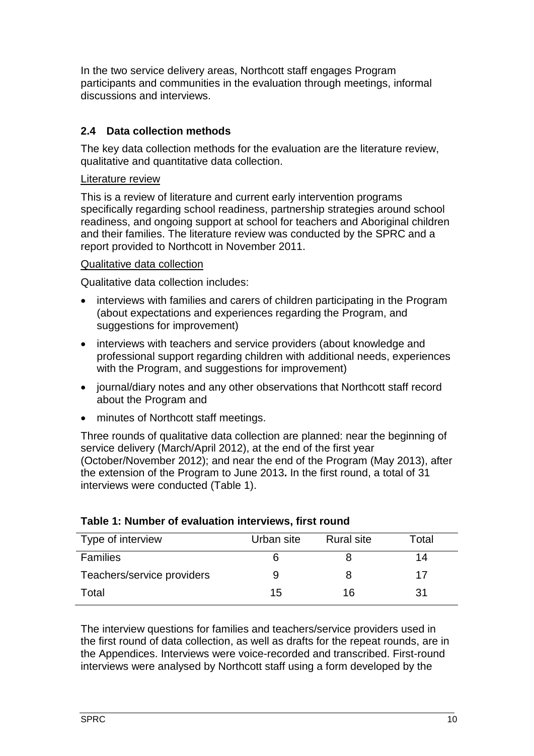In the two service delivery areas, Northcott staff engages Program participants and communities in the evaluation through meetings, informal discussions and interviews.

## <span id="page-14-0"></span>**2.4 Data collection methods**

The key data collection methods for the evaluation are the literature review, qualitative and quantitative data collection.

#### Literature review

This is a review of literature and current early intervention programs specifically regarding school readiness, partnership strategies around school readiness, and ongoing support at school for teachers and Aboriginal children and their families. The literature review was conducted by the SPRC and a report provided to Northcott in November 2011.

#### Qualitative data collection

Qualitative data collection includes:

- interviews with families and carers of children participating in the Program (about expectations and experiences regarding the Program, and suggestions for improvement)
- interviews with teachers and service providers (about knowledge and professional support regarding children with additional needs, experiences with the Program, and suggestions for improvement)
- journal/diary notes and any other observations that Northcott staff record about the Program and
- minutes of Northcott staff meetings.

Three rounds of qualitative data collection are planned: near the beginning of service delivery (March/April 2012), at the end of the first year (October/November 2012); and near the end of the Program (May 2013), after the extension of the Program to June 2013**.** In the first round, a total of 31 interviews were conducted [\(Table 1\)](#page-14-1).

| Type of interview          | Urban site | <b>Rural site</b> | Total |
|----------------------------|------------|-------------------|-------|
| <b>Families</b>            |            |                   | 14    |
| Teachers/service providers | 9          | 8                 | 17    |
| Total                      | 15         | 16                | 31    |

#### <span id="page-14-1"></span>**Table 1: Number of evaluation interviews, first round**

The interview questions for families and teachers/service providers used in the first round of data collection, as well as drafts for the repeat rounds, are in the Appendices. Interviews were voice-recorded and transcribed. First-round interviews were analysed by Northcott staff using a form developed by the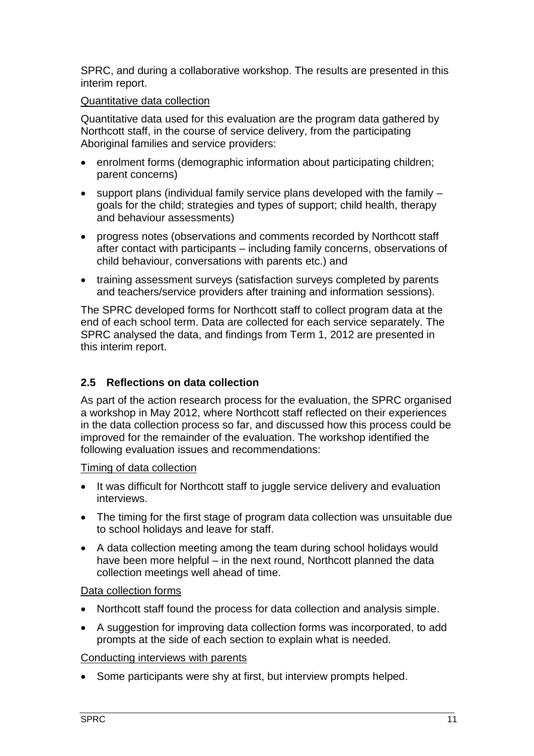SPRC, and during a collaborative workshop. The results are presented in this interim report.

#### Quantitative data collection

Quantitative data used for this evaluation are the program data gathered by Northcott staff, in the course of service delivery, from the participating Aboriginal families and service providers:

- enrolment forms (demographic information about participating children; parent concerns)
- $\bullet$  support plans (individual family service plans developed with the family  $$ goals for the child; strategies and types of support; child health, therapy and behaviour assessments)
- progress notes (observations and comments recorded by Northcott staff after contact with participants – including family concerns, observations of child behaviour, conversations with parents etc.) and
- training assessment surveys (satisfaction surveys completed by parents and teachers/service providers after training and information sessions).

The SPRC developed forms for Northcott staff to collect program data at the end of each school term. Data are collected for each service separately. The SPRC analysed the data, and findings from Term 1, 2012 are presented in this interim report.

## <span id="page-15-0"></span>**2.5 Reflections on data collection**

As part of the action research process for the evaluation, the SPRC organised a workshop in May 2012, where Northcott staff reflected on their experiences in the data collection process so far, and discussed how this process could be improved for the remainder of the evaluation. The workshop identified the following evaluation issues and recommendations:

#### Timing of data collection

- It was difficult for Northcott staff to juggle service delivery and evaluation interviews.
- The timing for the first stage of program data collection was unsuitable due to school holidays and leave for staff.
- A data collection meeting among the team during school holidays would have been more helpful – in the next round, Northcott planned the data collection meetings well ahead of time.

#### Data collection forms

- Northcott staff found the process for data collection and analysis simple.
- A suggestion for improving data collection forms was incorporated, to add prompts at the side of each section to explain what is needed.

#### Conducting interviews with parents

• Some participants were shy at first, but interview prompts helped.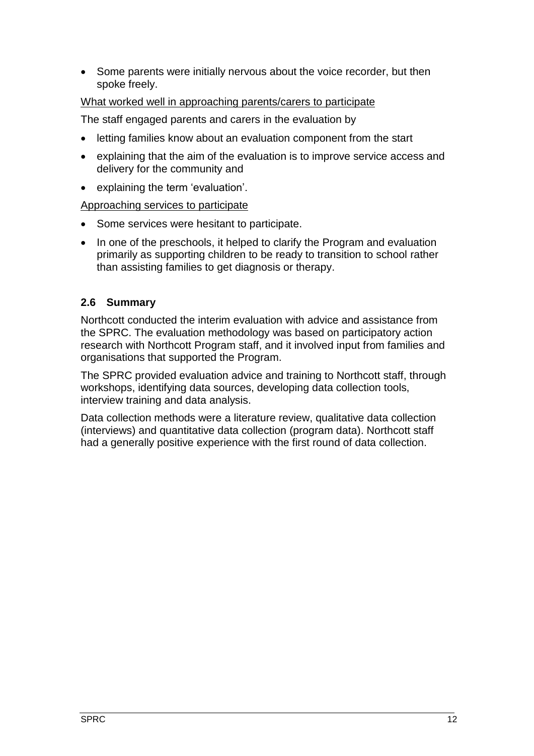• Some parents were initially nervous about the voice recorder, but then spoke freely.

#### What worked well in approaching parents/carers to participate

The staff engaged parents and carers in the evaluation by

- letting families know about an evaluation component from the start
- explaining that the aim of the evaluation is to improve service access and delivery for the community and
- explaining the term 'evaluation'.

#### Approaching services to participate

- Some services were hesitant to participate.
- In one of the preschools, it helped to clarify the Program and evaluation primarily as supporting children to be ready to transition to school rather than assisting families to get diagnosis or therapy.

#### <span id="page-16-0"></span>**2.6 Summary**

Northcott conducted the interim evaluation with advice and assistance from the SPRC. The evaluation methodology was based on participatory action research with Northcott Program staff, and it involved input from families and organisations that supported the Program.

The SPRC provided evaluation advice and training to Northcott staff, through workshops, identifying data sources, developing data collection tools, interview training and data analysis.

Data collection methods were a literature review, qualitative data collection (interviews) and quantitative data collection (program data). Northcott staff had a generally positive experience with the first round of data collection.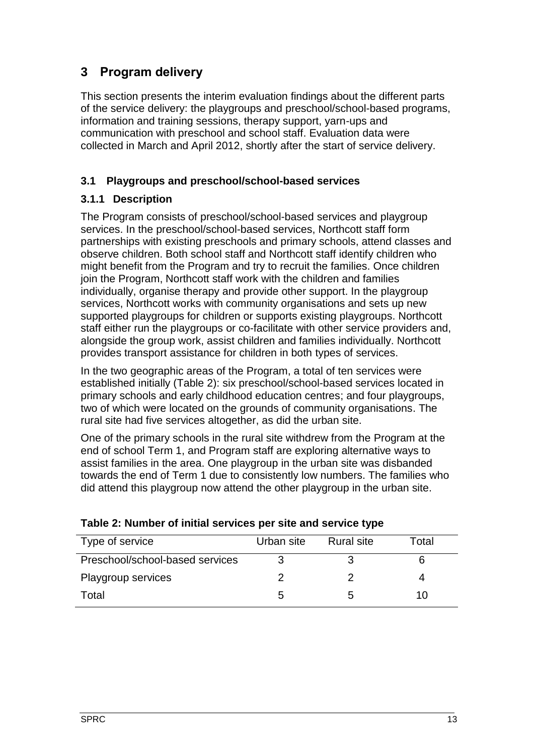# <span id="page-17-0"></span>**3 Program delivery**

This section presents the interim evaluation findings about the different parts of the service delivery: the playgroups and preschool/school-based programs, information and training sessions, therapy support, yarn-ups and communication with preschool and school staff. Evaluation data were collected in March and April 2012, shortly after the start of service delivery.

## <span id="page-17-1"></span>**3.1 Playgroups and preschool/school-based services**

## <span id="page-17-2"></span>**3.1.1 Description**

The Program consists of preschool/school-based services and playgroup services. In the preschool/school-based services, Northcott staff form partnerships with existing preschools and primary schools, attend classes and observe children. Both school staff and Northcott staff identify children who might benefit from the Program and try to recruit the families. Once children join the Program, Northcott staff work with the children and families individually, organise therapy and provide other support. In the playgroup services, Northcott works with community organisations and sets up new supported playgroups for children or supports existing playgroups. Northcott staff either run the playgroups or co-facilitate with other service providers and, alongside the group work, assist children and families individually. Northcott provides transport assistance for children in both types of services.

In the two geographic areas of the Program, a total of ten services were established initially [\(Table 2\)](#page-17-3): six preschool/school-based services located in primary schools and early childhood education centres; and four playgroups, two of which were located on the grounds of community organisations. The rural site had five services altogether, as did the urban site.

One of the primary schools in the rural site withdrew from the Program at the end of school Term 1, and Program staff are exploring alternative ways to assist families in the area. One playgroup in the urban site was disbanded towards the end of Term 1 due to consistently low numbers. The families who did attend this playgroup now attend the other playgroup in the urban site.

| Type of service                 | Urban site | <b>Rural site</b> | Total |
|---------------------------------|------------|-------------------|-------|
| Preschool/school-based services |            |                   |       |
| Playgroup services              |            |                   |       |
| Total                           | G          |                   | 1 ( ) |

<span id="page-17-3"></span>

| Table 2: Number of initial services per site and service type |  |  |  |
|---------------------------------------------------------------|--|--|--|
|---------------------------------------------------------------|--|--|--|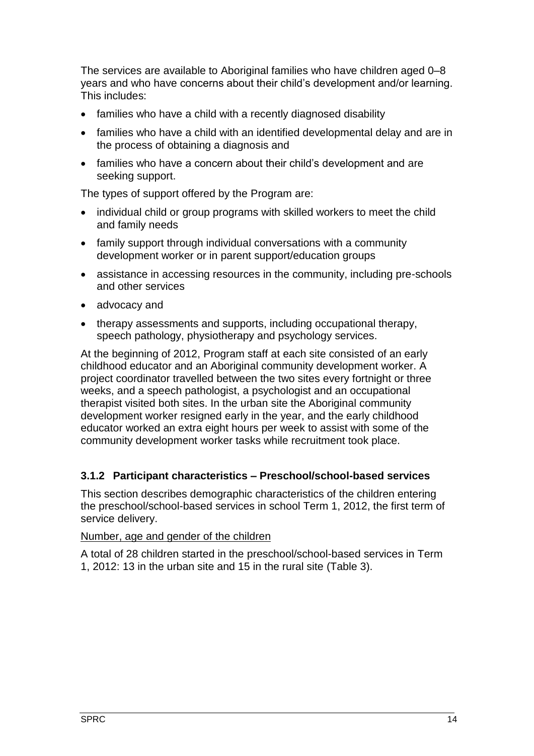The services are available to Aboriginal families who have children aged 0–8 years and who have concerns about their child's development and/or learning. This includes:

- families who have a child with a recently diagnosed disability
- families who have a child with an identified developmental delay and are in the process of obtaining a diagnosis and
- families who have a concern about their child's development and are seeking support.

The types of support offered by the Program are:

- individual child or group programs with skilled workers to meet the child and family needs
- family support through individual conversations with a community development worker or in parent support/education groups
- assistance in accessing resources in the community, including pre-schools and other services
- advocacy and
- therapy assessments and supports, including occupational therapy, speech pathology, physiotherapy and psychology services.

At the beginning of 2012, Program staff at each site consisted of an early childhood educator and an Aboriginal community development worker. A project coordinator travelled between the two sites every fortnight or three weeks, and a speech pathologist, a psychologist and an occupational therapist visited both sites. In the urban site the Aboriginal community development worker resigned early in the year, and the early childhood educator worked an extra eight hours per week to assist with some of the community development worker tasks while recruitment took place.

#### <span id="page-18-0"></span>**3.1.2 Participant characteristics – Preschool/school-based services**

This section describes demographic characteristics of the children entering the preschool/school-based services in school Term 1, 2012, the first term of service delivery.

#### Number, age and gender of the children

A total of 28 children started in the preschool/school-based services in Term 1, 2012: 13 in the urban site and 15 in the rural site [\(Table 3\)](#page-19-0).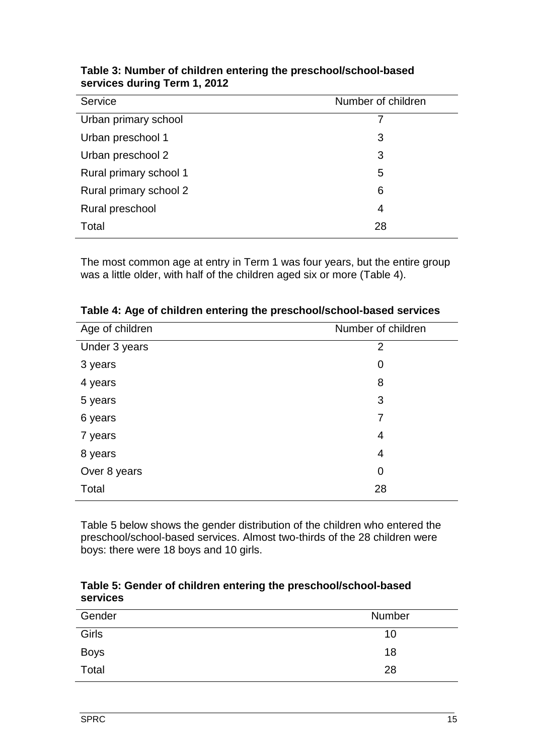| Service                | Number of children |
|------------------------|--------------------|
| Urban primary school   | 7                  |
| Urban preschool 1      | 3                  |
| Urban preschool 2      | 3                  |
| Rural primary school 1 | 5                  |
| Rural primary school 2 | 6                  |
| Rural preschool        | 4                  |
| Total                  | 28                 |

#### <span id="page-19-0"></span>**Table 3: Number of children entering the preschool/school-based services during Term 1, 2012**

The most common age at entry in Term 1 was four years, but the entire group was a little older, with half of the children aged six or more [\(Table 4\)](#page-19-1).

| Number of children |
|--------------------|

<span id="page-19-1"></span>

|  |  | Table 4: Age of children entering the preschool/school-based services |
|--|--|-----------------------------------------------------------------------|
|--|--|-----------------------------------------------------------------------|

[Table 5](#page-19-2) below shows the gender distribution of the children who entered the preschool/school-based services. Almost two-thirds of the 28 children were boys: there were 18 boys and 10 girls.

#### <span id="page-19-2"></span>**Table 5: Gender of children entering the preschool/school-based services**

| Gender      | <b>Number</b> |
|-------------|---------------|
| Girls       | 10            |
| <b>Boys</b> | 18            |
| Total       | 28            |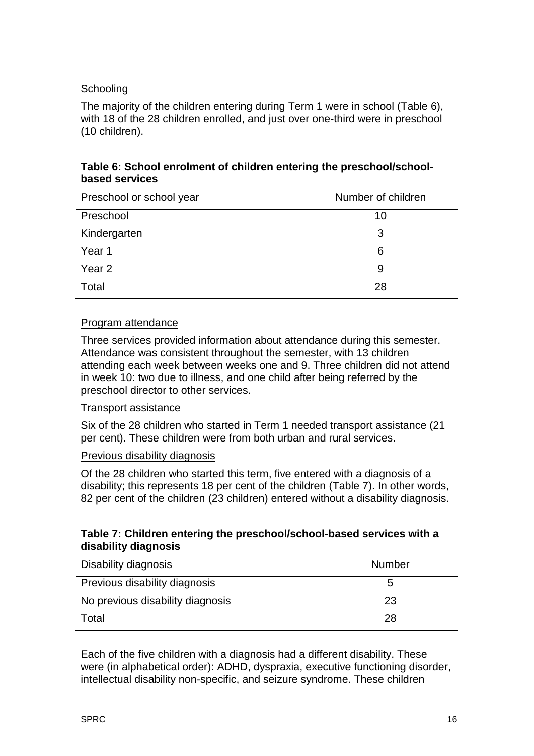## **Schooling**

The majority of the children entering during Term 1 were in school [\(Table 6\)](#page-20-0), with 18 of the 28 children enrolled, and just over one-third were in preschool (10 children).

#### <span id="page-20-0"></span>**Table 6: School enrolment of children entering the preschool/schoolbased services**

| Preschool or school year | Number of children |
|--------------------------|--------------------|
| Preschool                | 10                 |
| Kindergarten             | 3                  |
| Year 1                   | 6                  |
| Year <sub>2</sub>        | 9                  |
| Total                    | 28                 |

#### Program attendance

Three services provided information about attendance during this semester. Attendance was consistent throughout the semester, with 13 children attending each week between weeks one and 9. Three children did not attend in week 10: two due to illness, and one child after being referred by the preschool director to other services.

#### Transport assistance

Six of the 28 children who started in Term 1 needed transport assistance (21 per cent). These children were from both urban and rural services.

#### Previous disability diagnosis

Of the 28 children who started this term, five entered with a diagnosis of a disability; this represents 18 per cent of the children [\(Table](#page-20-1) 7). In other words, 82 per cent of the children (23 children) entered without a disability diagnosis.

#### <span id="page-20-1"></span>**Table 7: Children entering the preschool/school-based services with a disability diagnosis**

| Disability diagnosis             | <b>Number</b> |
|----------------------------------|---------------|
| Previous disability diagnosis    | 5.            |
| No previous disability diagnosis | 23            |
| Total                            | 28            |

Each of the five children with a diagnosis had a different disability. These were (in alphabetical order): ADHD, dyspraxia, executive functioning disorder, intellectual disability non-specific, and seizure syndrome. These children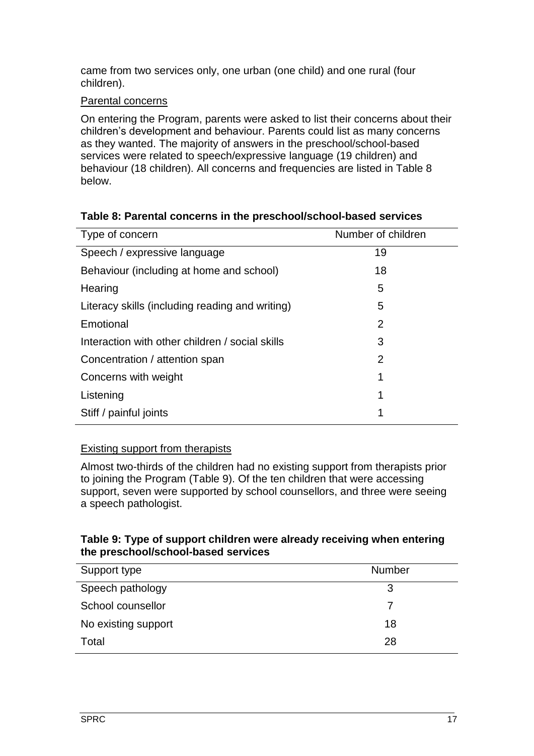came from two services only, one urban (one child) and one rural (four children).

#### Parental concerns

On entering the Program, parents were asked to list their concerns about their children's development and behaviour. Parents could list as many concerns as they wanted. The majority of answers in the preschool/school-based services were related to speech/expressive language (19 children) and behaviour (18 children). All concerns and frequencies are listed in [Table 8](#page-21-0) below.

| Type of concern                                 | Number of children |
|-------------------------------------------------|--------------------|
|                                                 | 19                 |
| Speech / expressive language                    |                    |
| Behaviour (including at home and school)        | 18                 |
| Hearing                                         | 5                  |
| Literacy skills (including reading and writing) | 5                  |
| Emotional                                       | 2                  |
| Interaction with other children / social skills | 3                  |
| Concentration / attention span                  | $\overline{2}$     |
| Concerns with weight                            | 1                  |
| Listening                                       | 1                  |
| Stiff / painful joints                          | 1                  |

## <span id="page-21-0"></span>**Table 8: Parental concerns in the preschool/school-based services**

## Existing support from therapists

Almost two-thirds of the children had no existing support from therapists prior to joining the Program [\(Table](#page-21-1) 9). Of the ten children that were accessing support, seven were supported by school counsellors, and three were seeing a speech pathologist.

#### <span id="page-21-1"></span>**Table 9: Type of support children were already receiving when entering the preschool/school-based services**

| Support type        | <b>Number</b> |
|---------------------|---------------|
| Speech pathology    | 3             |
| School counsellor   |               |
| No existing support | 18            |
| Total               | 28            |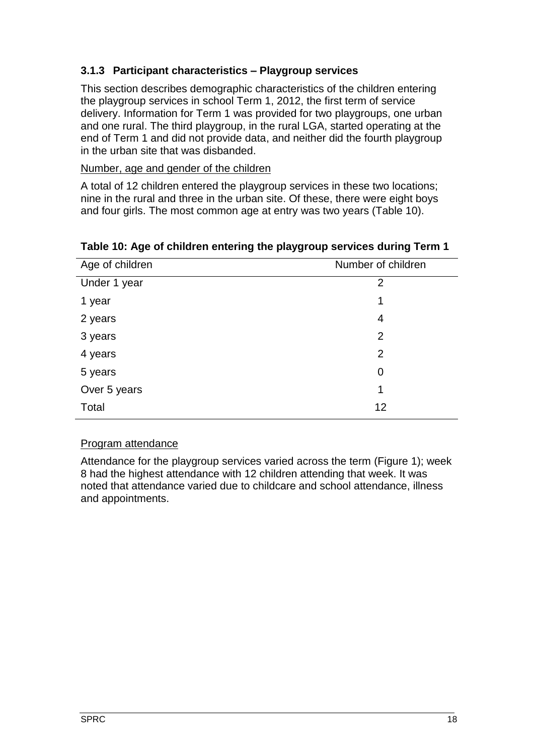## <span id="page-22-0"></span>**3.1.3 Participant characteristics – Playgroup services**

This section describes demographic characteristics of the children entering the playgroup services in school Term 1, 2012, the first term of service delivery. Information for Term 1 was provided for two playgroups, one urban and one rural. The third playgroup, in the rural LGA, started operating at the end of Term 1 and did not provide data, and neither did the fourth playgroup in the urban site that was disbanded.

#### Number, age and gender of the children

A total of 12 children entered the playgroup services in these two locations; nine in the rural and three in the urban site. Of these, there were eight boys and four girls. The most common age at entry was two years [\(Table](#page-22-1) 10).

| Age of children | Number of children |
|-----------------|--------------------|
| Under 1 year    | 2                  |
| 1 year          | 1                  |
| 2 years         | 4                  |
| 3 years         | $\overline{2}$     |
| 4 years         | $\overline{2}$     |
| 5 years         | 0                  |
| Over 5 years    | 1                  |
| Total           | 12                 |

#### <span id="page-22-1"></span>**Table 10: Age of children entering the playgroup services during Term 1**

#### Program attendance

Attendance for the playgroup services varied across the term [\(Figure 1\)](#page-23-1); week 8 had the highest attendance with 12 children attending that week. It was noted that attendance varied due to childcare and school attendance, illness and appointments.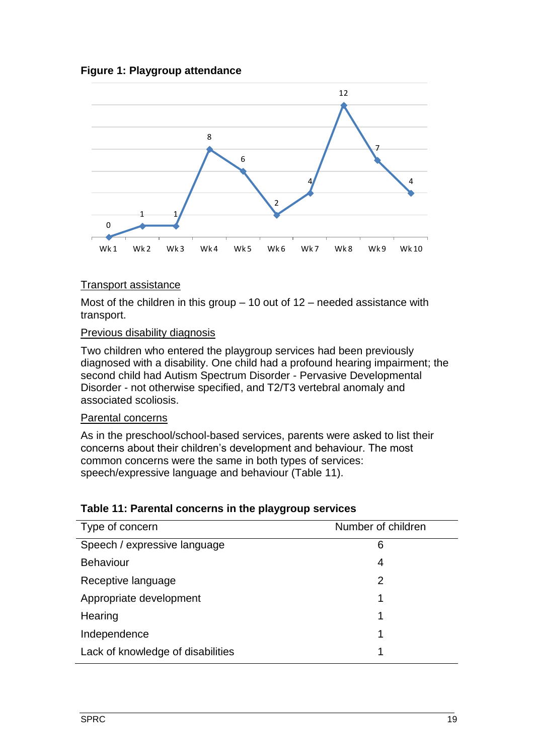#### <span id="page-23-1"></span>**Figure 1: Playgroup attendance**



#### Transport assistance

Most of the children in this group  $-10$  out of  $12$  – needed assistance with transport.

#### Previous disability diagnosis

Two children who entered the playgroup services had been previously diagnosed with a disability. One child had a profound hearing impairment; the second child had Autism Spectrum Disorder - Pervasive Developmental Disorder - not otherwise specified, and T2/T3 vertebral anomaly and associated scoliosis.

#### Parental concerns

As in the preschool/school-based services, parents were asked to list their concerns about their children's development and behaviour. The most common concerns were the same in both types of services: speech/expressive language and behaviour [\(Table 11\)](#page-23-0).

#### <span id="page-23-0"></span>**Table 11: Parental concerns in the playgroup services**

| Type of concern                   | Number of children |
|-----------------------------------|--------------------|
| Speech / expressive language      | 6                  |
| <b>Behaviour</b>                  | 4                  |
| Receptive language                | 2                  |
| Appropriate development           |                    |
| Hearing                           |                    |
| Independence                      |                    |
| Lack of knowledge of disabilities |                    |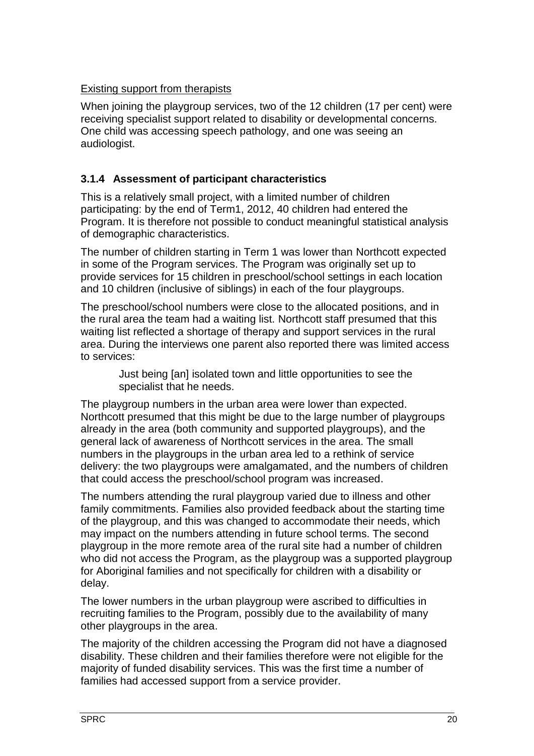## Existing support from therapists

When joining the playgroup services, two of the 12 children (17 per cent) were receiving specialist support related to disability or developmental concerns. One child was accessing speech pathology, and one was seeing an audiologist.

## <span id="page-24-0"></span>**3.1.4 Assessment of participant characteristics**

This is a relatively small project, with a limited number of children participating: by the end of Term1, 2012, 40 children had entered the Program. It is therefore not possible to conduct meaningful statistical analysis of demographic characteristics.

The number of children starting in Term 1 was lower than Northcott expected in some of the Program services. The Program was originally set up to provide services for 15 children in preschool/school settings in each location and 10 children (inclusive of siblings) in each of the four playgroups.

The preschool/school numbers were close to the allocated positions, and in the rural area the team had a waiting list. Northcott staff presumed that this waiting list reflected a shortage of therapy and support services in the rural area. During the interviews one parent also reported there was limited access to services:

> Just being [an] isolated town and little opportunities to see the specialist that he needs.

The playgroup numbers in the urban area were lower than expected. Northcott presumed that this might be due to the large number of playgroups already in the area (both community and supported playgroups), and the general lack of awareness of Northcott services in the area. The small numbers in the playgroups in the urban area led to a rethink of service delivery: the two playgroups were amalgamated, and the numbers of children that could access the preschool/school program was increased.

The numbers attending the rural playgroup varied due to illness and other family commitments. Families also provided feedback about the starting time of the playgroup, and this was changed to accommodate their needs, which may impact on the numbers attending in future school terms. The second playgroup in the more remote area of the rural site had a number of children who did not access the Program, as the playgroup was a supported playgroup for Aboriginal families and not specifically for children with a disability or delay.

The lower numbers in the urban playgroup were ascribed to difficulties in recruiting families to the Program, possibly due to the availability of many other playgroups in the area.

The majority of the children accessing the Program did not have a diagnosed disability. These children and their families therefore were not eligible for the majority of funded disability services. This was the first time a number of families had accessed support from a service provider.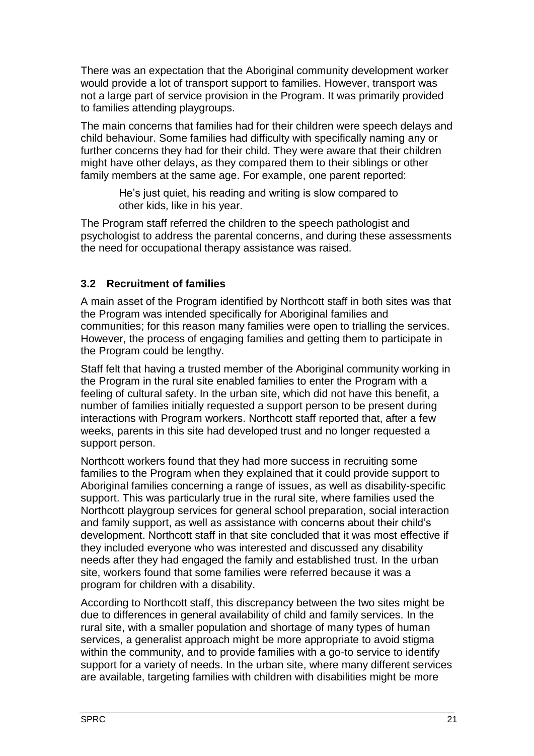There was an expectation that the Aboriginal community development worker would provide a lot of transport support to families. However, transport was not a large part of service provision in the Program. It was primarily provided to families attending playgroups.

The main concerns that families had for their children were speech delays and child behaviour. Some families had difficulty with specifically naming any or further concerns they had for their child. They were aware that their children might have other delays, as they compared them to their siblings or other family members at the same age. For example, one parent reported:

> He's just quiet, his reading and writing is slow compared to other kids, like in his year.

The Program staff referred the children to the speech pathologist and psychologist to address the parental concerns, and during these assessments the need for occupational therapy assistance was raised.

#### <span id="page-25-0"></span>**3.2 Recruitment of families**

A main asset of the Program identified by Northcott staff in both sites was that the Program was intended specifically for Aboriginal families and communities; for this reason many families were open to trialling the services. However, the process of engaging families and getting them to participate in the Program could be lengthy.

Staff felt that having a trusted member of the Aboriginal community working in the Program in the rural site enabled families to enter the Program with a feeling of cultural safety. In the urban site, which did not have this benefit, a number of families initially requested a support person to be present during interactions with Program workers. Northcott staff reported that, after a few weeks, parents in this site had developed trust and no longer requested a support person.

Northcott workers found that they had more success in recruiting some families to the Program when they explained that it could provide support to Aboriginal families concerning a range of issues, as well as disability-specific support. This was particularly true in the rural site, where families used the Northcott playgroup services for general school preparation, social interaction and family support, as well as assistance with concerns about their child's development. Northcott staff in that site concluded that it was most effective if they included everyone who was interested and discussed any disability needs after they had engaged the family and established trust. In the urban site, workers found that some families were referred because it was a program for children with a disability.

According to Northcott staff, this discrepancy between the two sites might be due to differences in general availability of child and family services. In the rural site, with a smaller population and shortage of many types of human services, a generalist approach might be more appropriate to avoid stigma within the community, and to provide families with a go-to service to identify support for a variety of needs. In the urban site, where many different services are available, targeting families with children with disabilities might be more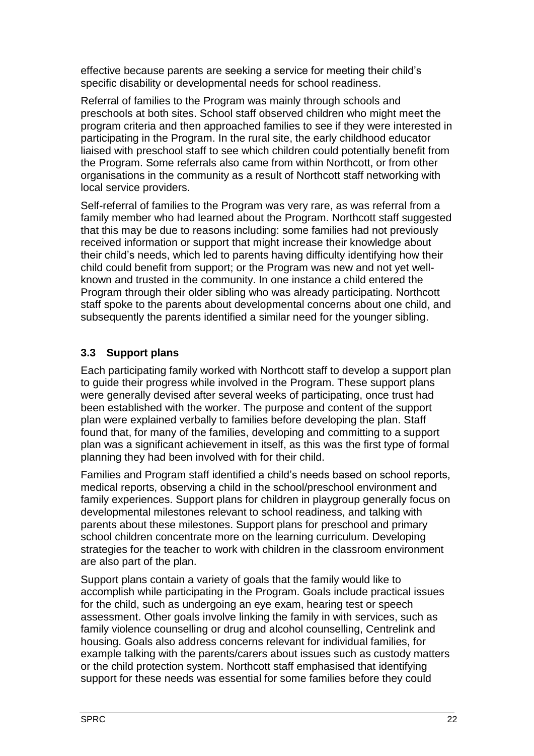effective because parents are seeking a service for meeting their child's specific disability or developmental needs for school readiness.

Referral of families to the Program was mainly through schools and preschools at both sites. School staff observed children who might meet the program criteria and then approached families to see if they were interested in participating in the Program. In the rural site, the early childhood educator liaised with preschool staff to see which children could potentially benefit from the Program. Some referrals also came from within Northcott, or from other organisations in the community as a result of Northcott staff networking with local service providers.

Self-referral of families to the Program was very rare, as was referral from a family member who had learned about the Program. Northcott staff suggested that this may be due to reasons including: some families had not previously received information or support that might increase their knowledge about their child's needs, which led to parents having difficulty identifying how their child could benefit from support; or the Program was new and not yet wellknown and trusted in the community. In one instance a child entered the Program through their older sibling who was already participating. Northcott staff spoke to the parents about developmental concerns about one child, and subsequently the parents identified a similar need for the younger sibling.

## <span id="page-26-0"></span>**3.3 Support plans**

Each participating family worked with Northcott staff to develop a support plan to guide their progress while involved in the Program. These support plans were generally devised after several weeks of participating, once trust had been established with the worker. The purpose and content of the support plan were explained verbally to families before developing the plan. Staff found that, for many of the families, developing and committing to a support plan was a significant achievement in itself, as this was the first type of formal planning they had been involved with for their child.

Families and Program staff identified a child's needs based on school reports, medical reports, observing a child in the school/preschool environment and family experiences. Support plans for children in playgroup generally focus on developmental milestones relevant to school readiness, and talking with parents about these milestones. Support plans for preschool and primary school children concentrate more on the learning curriculum. Developing strategies for the teacher to work with children in the classroom environment are also part of the plan.

Support plans contain a variety of goals that the family would like to accomplish while participating in the Program. Goals include practical issues for the child, such as undergoing an eye exam, hearing test or speech assessment. Other goals involve linking the family in with services, such as family violence counselling or drug and alcohol counselling, Centrelink and housing. Goals also address concerns relevant for individual families, for example talking with the parents/carers about issues such as custody matters or the child protection system. Northcott staff emphasised that identifying support for these needs was essential for some families before they could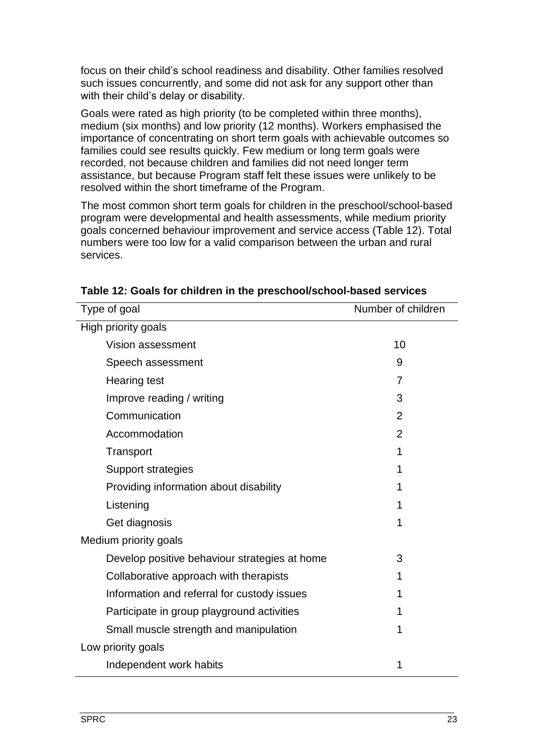focus on their child's school readiness and disability. Other families resolved such issues concurrently, and some did not ask for any support other than with their child's delay or disability.

Goals were rated as high priority (to be completed within three months), medium (six months) and low priority (12 months). Workers emphasised the importance of concentrating on short term goals with achievable outcomes so families could see results quickly. Few medium or long term goals were recorded, not because children and families did not need longer term assistance, but because Program staff felt these issues were unlikely to be resolved within the short timeframe of the Program.

The most common short term goals for children in the preschool/school-based program were developmental and health assessments, while medium priority goals concerned behaviour improvement and service access [\(Table 12\)](#page-27-0). Total numbers were too low for a valid comparison between the urban and rural services.

| Type of goal                                  | Number of children |
|-----------------------------------------------|--------------------|
| High priority goals                           |                    |
| Vision assessment                             | 10                 |
| Speech assessment                             | 9                  |
| <b>Hearing test</b>                           | $\overline{7}$     |
| Improve reading / writing                     | 3                  |
| Communication                                 | 2                  |
| Accommodation                                 | $\overline{2}$     |
| Transport                                     | 1                  |
| Support strategies                            | 1                  |
| Providing information about disability        | 1                  |
| Listening                                     | 1                  |
| Get diagnosis                                 | 1                  |
| Medium priority goals                         |                    |
| Develop positive behaviour strategies at home | 3                  |
| Collaborative approach with therapists        | 1                  |
| Information and referral for custody issues   | 1                  |
| Participate in group playground activities    | 1                  |
| Small muscle strength and manipulation        | 1                  |
| Low priority goals                            |                    |
| Independent work habits                       | 1                  |

<span id="page-27-0"></span>**Table 12: Goals for children in the preschool/school-based services**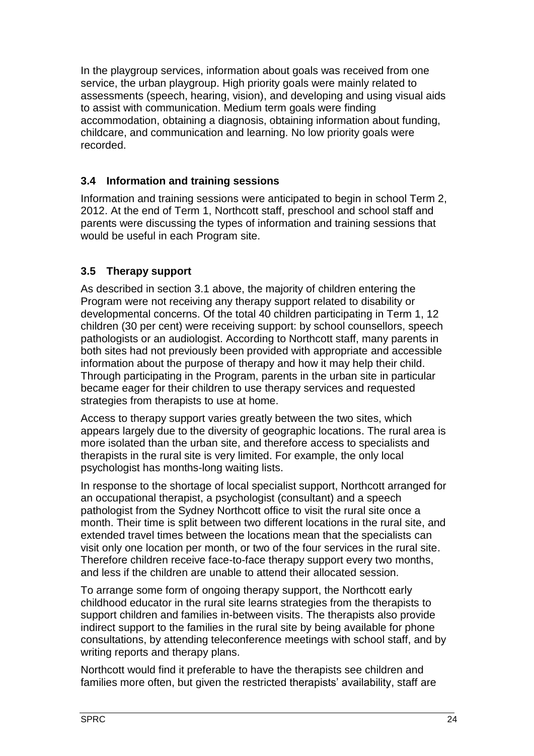In the playgroup services, information about goals was received from one service, the urban playgroup. High priority goals were mainly related to assessments (speech, hearing, vision), and developing and using visual aids to assist with communication. Medium term goals were finding accommodation, obtaining a diagnosis, obtaining information about funding, childcare, and communication and learning. No low priority goals were recorded.

## <span id="page-28-0"></span>**3.4 Information and training sessions**

Information and training sessions were anticipated to begin in school Term 2, 2012. At the end of Term 1, Northcott staff, preschool and school staff and parents were discussing the types of information and training sessions that would be useful in each Program site.

# <span id="page-28-1"></span>**3.5 Therapy support**

As described in section [3.1](#page-17-1) above, the majority of children entering the Program were not receiving any therapy support related to disability or developmental concerns. Of the total 40 children participating in Term 1, 12 children (30 per cent) were receiving support: by school counsellors, speech pathologists or an audiologist. According to Northcott staff, many parents in both sites had not previously been provided with appropriate and accessible information about the purpose of therapy and how it may help their child. Through participating in the Program, parents in the urban site in particular became eager for their children to use therapy services and requested strategies from therapists to use at home.

Access to therapy support varies greatly between the two sites, which appears largely due to the diversity of geographic locations. The rural area is more isolated than the urban site, and therefore access to specialists and therapists in the rural site is very limited. For example, the only local psychologist has months-long waiting lists.

In response to the shortage of local specialist support, Northcott arranged for an occupational therapist, a psychologist (consultant) and a speech pathologist from the Sydney Northcott office to visit the rural site once a month. Their time is split between two different locations in the rural site, and extended travel times between the locations mean that the specialists can visit only one location per month, or two of the four services in the rural site. Therefore children receive face-to-face therapy support every two months, and less if the children are unable to attend their allocated session.

To arrange some form of ongoing therapy support, the Northcott early childhood educator in the rural site learns strategies from the therapists to support children and families in-between visits. The therapists also provide indirect support to the families in the rural site by being available for phone consultations, by attending teleconference meetings with school staff, and by writing reports and therapy plans.

Northcott would find it preferable to have the therapists see children and families more often, but given the restricted therapists' availability, staff are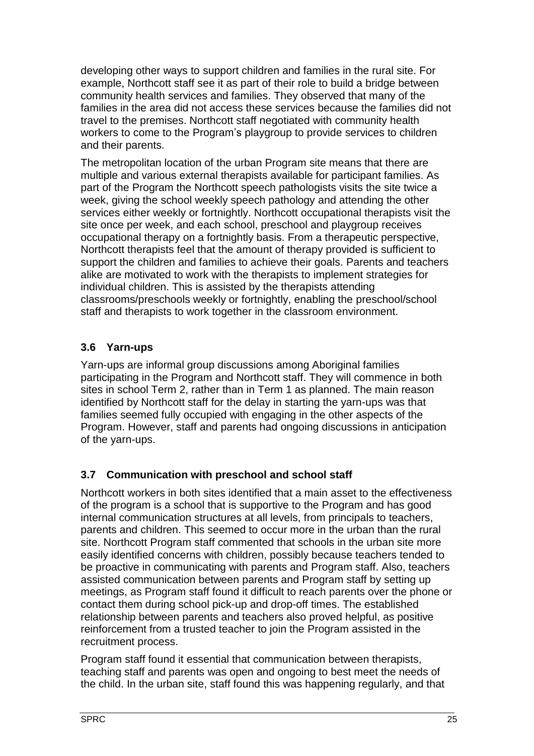developing other ways to support children and families in the rural site. For example, Northcott staff see it as part of their role to build a bridge between community health services and families. They observed that many of the families in the area did not access these services because the families did not travel to the premises. Northcott staff negotiated with community health workers to come to the Program's playgroup to provide services to children and their parents.

The metropolitan location of the urban Program site means that there are multiple and various external therapists available for participant families. As part of the Program the Northcott speech pathologists visits the site twice a week, giving the school weekly speech pathology and attending the other services either weekly or fortnightly. Northcott occupational therapists visit the site once per week, and each school, preschool and playgroup receives occupational therapy on a fortnightly basis. From a therapeutic perspective, Northcott therapists feel that the amount of therapy provided is sufficient to support the children and families to achieve their goals. Parents and teachers alike are motivated to work with the therapists to implement strategies for individual children. This is assisted by the therapists attending classrooms/preschools weekly or fortnightly, enabling the preschool/school staff and therapists to work together in the classroom environment.

## <span id="page-29-0"></span>**3.6 Yarn-ups**

Yarn-ups are informal group discussions among Aboriginal families participating in the Program and Northcott staff. They will commence in both sites in school Term 2, rather than in Term 1 as planned. The main reason identified by Northcott staff for the delay in starting the yarn-ups was that families seemed fully occupied with engaging in the other aspects of the Program. However, staff and parents had ongoing discussions in anticipation of the yarn-ups.

# <span id="page-29-1"></span>**3.7 Communication with preschool and school staff**

Northcott workers in both sites identified that a main asset to the effectiveness of the program is a school that is supportive to the Program and has good internal communication structures at all levels, from principals to teachers, parents and children. This seemed to occur more in the urban than the rural site. Northcott Program staff commented that schools in the urban site more easily identified concerns with children, possibly because teachers tended to be proactive in communicating with parents and Program staff. Also, teachers assisted communication between parents and Program staff by setting up meetings, as Program staff found it difficult to reach parents over the phone or contact them during school pick-up and drop-off times. The established relationship between parents and teachers also proved helpful, as positive reinforcement from a trusted teacher to join the Program assisted in the recruitment process.

Program staff found it essential that communication between therapists, teaching staff and parents was open and ongoing to best meet the needs of the child. In the urban site, staff found this was happening regularly, and that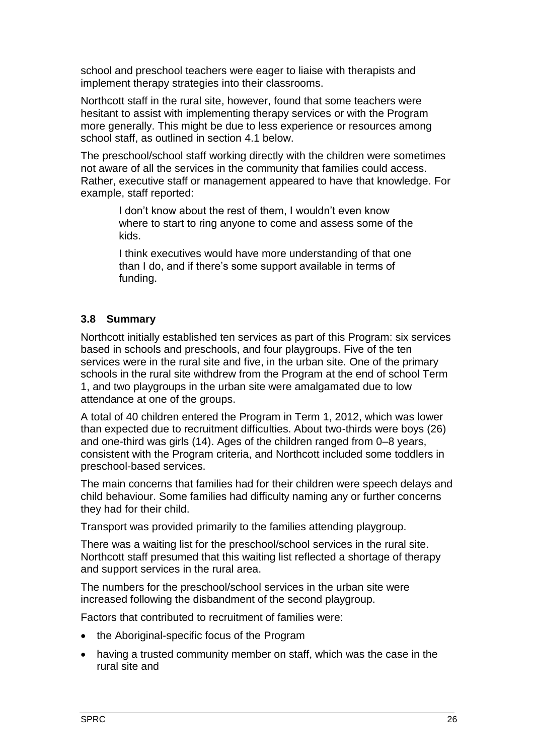school and preschool teachers were eager to liaise with therapists and implement therapy strategies into their classrooms.

Northcott staff in the rural site, however, found that some teachers were hesitant to assist with implementing therapy services or with the Program more generally. This might be due to less experience or resources among school staff, as outlined in section [4.1](#page-32-1) below.

The preschool/school staff working directly with the children were sometimes not aware of all the services in the community that families could access. Rather, executive staff or management appeared to have that knowledge. For example, staff reported:

> I don't know about the rest of them, I wouldn't even know where to start to ring anyone to come and assess some of the kids.

> I think executives would have more understanding of that one than I do, and if there's some support available in terms of funding.

#### <span id="page-30-0"></span>**3.8 Summary**

Northcott initially established ten services as part of this Program: six services based in schools and preschools, and four playgroups. Five of the ten services were in the rural site and five, in the urban site. One of the primary schools in the rural site withdrew from the Program at the end of school Term 1, and two playgroups in the urban site were amalgamated due to low attendance at one of the groups.

A total of 40 children entered the Program in Term 1, 2012, which was lower than expected due to recruitment difficulties. About two-thirds were boys (26) and one-third was girls (14). Ages of the children ranged from 0–8 years, consistent with the Program criteria, and Northcott included some toddlers in preschool-based services.

The main concerns that families had for their children were speech delays and child behaviour. Some families had difficulty naming any or further concerns they had for their child.

Transport was provided primarily to the families attending playgroup.

There was a waiting list for the preschool/school services in the rural site. Northcott staff presumed that this waiting list reflected a shortage of therapy and support services in the rural area.

The numbers for the preschool/school services in the urban site were increased following the disbandment of the second playgroup.

Factors that contributed to recruitment of families were:

- the Aboriginal-specific focus of the Program
- having a trusted community member on staff, which was the case in the rural site and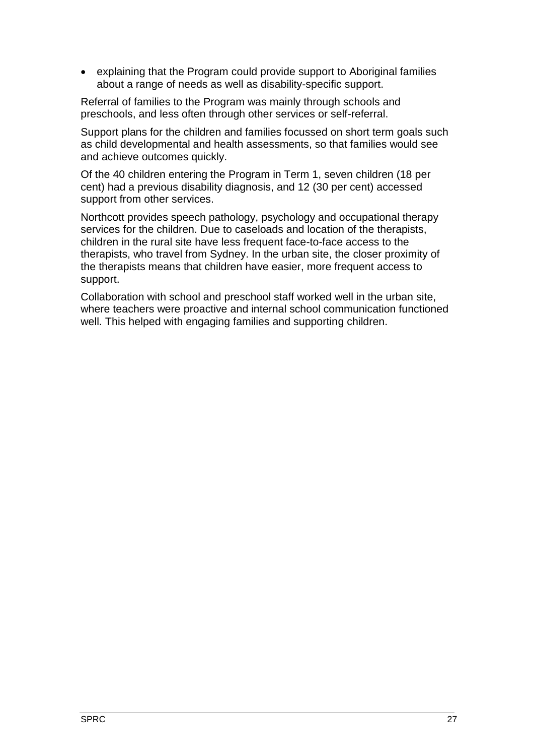explaining that the Program could provide support to Aboriginal families about a range of needs as well as disability-specific support.

Referral of families to the Program was mainly through schools and preschools, and less often through other services or self-referral.

Support plans for the children and families focussed on short term goals such as child developmental and health assessments, so that families would see and achieve outcomes quickly.

Of the 40 children entering the Program in Term 1, seven children (18 per cent) had a previous disability diagnosis, and 12 (30 per cent) accessed support from other services.

Northcott provides speech pathology, psychology and occupational therapy services for the children. Due to caseloads and location of the therapists, children in the rural site have less frequent face-to-face access to the therapists, who travel from Sydney. In the urban site, the closer proximity of the therapists means that children have easier, more frequent access to support.

Collaboration with school and preschool staff worked well in the urban site, where teachers were proactive and internal school communication functioned well. This helped with engaging families and supporting children.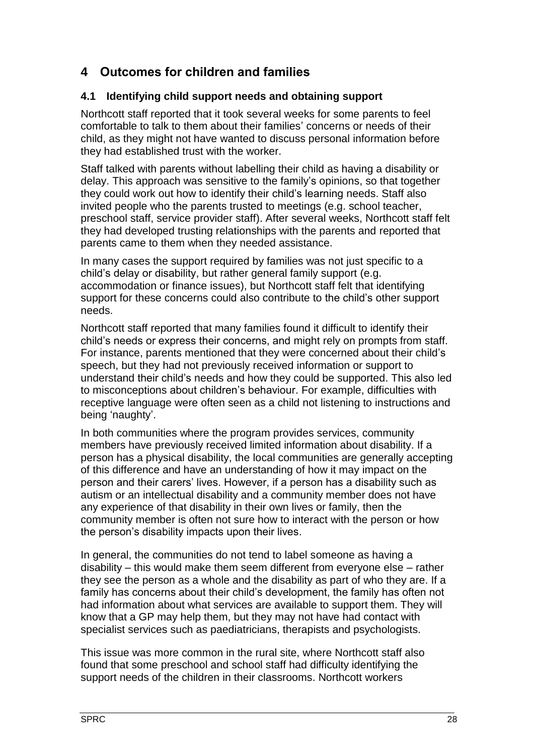# <span id="page-32-0"></span>**4 Outcomes for children and families**

#### <span id="page-32-1"></span>**4.1 Identifying child support needs and obtaining support**

Northcott staff reported that it took several weeks for some parents to feel comfortable to talk to them about their families' concerns or needs of their child, as they might not have wanted to discuss personal information before they had established trust with the worker.

Staff talked with parents without labelling their child as having a disability or delay. This approach was sensitive to the family's opinions, so that together they could work out how to identify their child's learning needs. Staff also invited people who the parents trusted to meetings (e.g. school teacher, preschool staff, service provider staff). After several weeks, Northcott staff felt they had developed trusting relationships with the parents and reported that parents came to them when they needed assistance.

In many cases the support required by families was not just specific to a child's delay or disability, but rather general family support (e.g. accommodation or finance issues), but Northcott staff felt that identifying support for these concerns could also contribute to the child's other support needs.

Northcott staff reported that many families found it difficult to identify their child's needs or express their concerns, and might rely on prompts from staff. For instance, parents mentioned that they were concerned about their child's speech, but they had not previously received information or support to understand their child's needs and how they could be supported. This also led to misconceptions about children's behaviour. For example, difficulties with receptive language were often seen as a child not listening to instructions and being 'naughty'.

In both communities where the program provides services, community members have previously received limited information about disability. If a person has a physical disability, the local communities are generally accepting of this difference and have an understanding of how it may impact on the person and their carers' lives. However, if a person has a disability such as autism or an intellectual disability and a community member does not have any experience of that disability in their own lives or family, then the community member is often not sure how to interact with the person or how the person's disability impacts upon their lives.

In general, the communities do not tend to label someone as having a disability – this would make them seem different from everyone else – rather they see the person as a whole and the disability as part of who they are. If a family has concerns about their child's development, the family has often not had information about what services are available to support them. They will know that a GP may help them, but they may not have had contact with specialist services such as paediatricians, therapists and psychologists.

This issue was more common in the rural site, where Northcott staff also found that some preschool and school staff had difficulty identifying the support needs of the children in their classrooms. Northcott workers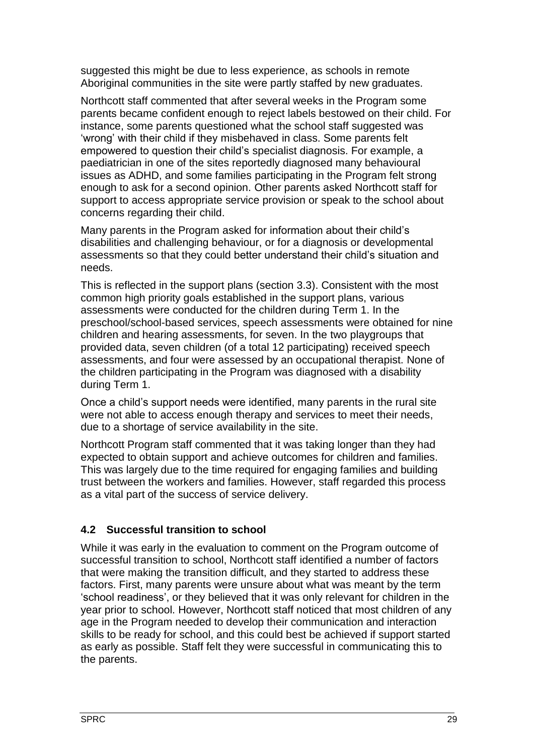suggested this might be due to less experience, as schools in remote Aboriginal communities in the site were partly staffed by new graduates.

Northcott staff commented that after several weeks in the Program some parents became confident enough to reject labels bestowed on their child. For instance, some parents questioned what the school staff suggested was 'wrong' with their child if they misbehaved in class. Some parents felt empowered to question their child's specialist diagnosis. For example, a paediatrician in one of the sites reportedly diagnosed many behavioural issues as ADHD, and some families participating in the Program felt strong enough to ask for a second opinion. Other parents asked Northcott staff for support to access appropriate service provision or speak to the school about concerns regarding their child.

Many parents in the Program asked for information about their child's disabilities and challenging behaviour, or for a diagnosis or developmental assessments so that they could better understand their child's situation and needs.

This is reflected in the support plans (section [3.3\)](#page-26-0). Consistent with the most common high priority goals established in the support plans, various assessments were conducted for the children during Term 1. In the preschool/school-based services, speech assessments were obtained for nine children and hearing assessments, for seven. In the two playgroups that provided data, seven children (of a total 12 participating) received speech assessments, and four were assessed by an occupational therapist. None of the children participating in the Program was diagnosed with a disability during Term 1.

Once a child's support needs were identified, many parents in the rural site were not able to access enough therapy and services to meet their needs, due to a shortage of service availability in the site.

Northcott Program staff commented that it was taking longer than they had expected to obtain support and achieve outcomes for children and families. This was largely due to the time required for engaging families and building trust between the workers and families. However, staff regarded this process as a vital part of the success of service delivery.

## <span id="page-33-0"></span>**4.2 Successful transition to school**

While it was early in the evaluation to comment on the Program outcome of successful transition to school, Northcott staff identified a number of factors that were making the transition difficult, and they started to address these factors. First, many parents were unsure about what was meant by the term 'school readiness', or they believed that it was only relevant for children in the year prior to school. However, Northcott staff noticed that most children of any age in the Program needed to develop their communication and interaction skills to be ready for school, and this could best be achieved if support started as early as possible. Staff felt they were successful in communicating this to the parents.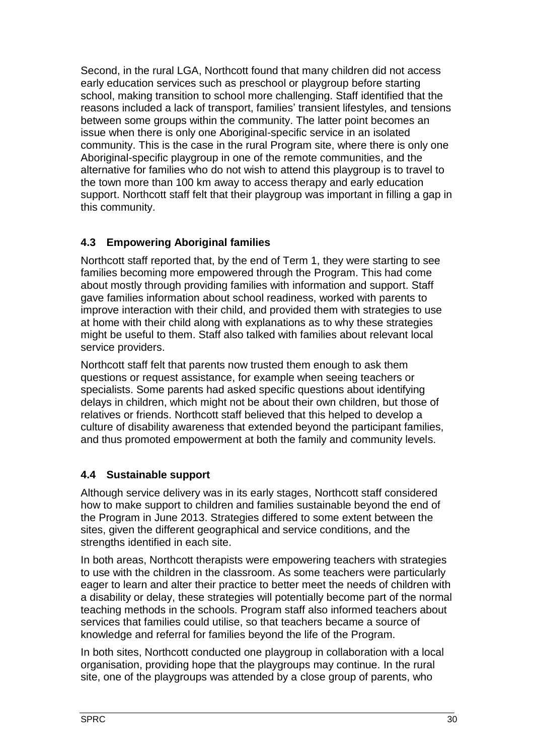Second, in the rural LGA, Northcott found that many children did not access early education services such as preschool or playgroup before starting school, making transition to school more challenging. Staff identified that the reasons included a lack of transport, families' transient lifestyles, and tensions between some groups within the community. The latter point becomes an issue when there is only one Aboriginal-specific service in an isolated community. This is the case in the rural Program site, where there is only one Aboriginal-specific playgroup in one of the remote communities, and the alternative for families who do not wish to attend this playgroup is to travel to the town more than 100 km away to access therapy and early education support. Northcott staff felt that their playgroup was important in filling a gap in this community.

## <span id="page-34-0"></span>**4.3 Empowering Aboriginal families**

Northcott staff reported that, by the end of Term 1, they were starting to see families becoming more empowered through the Program. This had come about mostly through providing families with information and support. Staff gave families information about school readiness, worked with parents to improve interaction with their child, and provided them with strategies to use at home with their child along with explanations as to why these strategies might be useful to them. Staff also talked with families about relevant local service providers.

Northcott staff felt that parents now trusted them enough to ask them questions or request assistance, for example when seeing teachers or specialists. Some parents had asked specific questions about identifying delays in children, which might not be about their own children, but those of relatives or friends. Northcott staff believed that this helped to develop a culture of disability awareness that extended beyond the participant families, and thus promoted empowerment at both the family and community levels.

# <span id="page-34-1"></span>**4.4 Sustainable support**

Although service delivery was in its early stages, Northcott staff considered how to make support to children and families sustainable beyond the end of the Program in June 2013. Strategies differed to some extent between the sites, given the different geographical and service conditions, and the strengths identified in each site.

In both areas, Northcott therapists were empowering teachers with strategies to use with the children in the classroom. As some teachers were particularly eager to learn and alter their practice to better meet the needs of children with a disability or delay, these strategies will potentially become part of the normal teaching methods in the schools. Program staff also informed teachers about services that families could utilise, so that teachers became a source of knowledge and referral for families beyond the life of the Program.

In both sites, Northcott conducted one playgroup in collaboration with a local organisation, providing hope that the playgroups may continue. In the rural site, one of the playgroups was attended by a close group of parents, who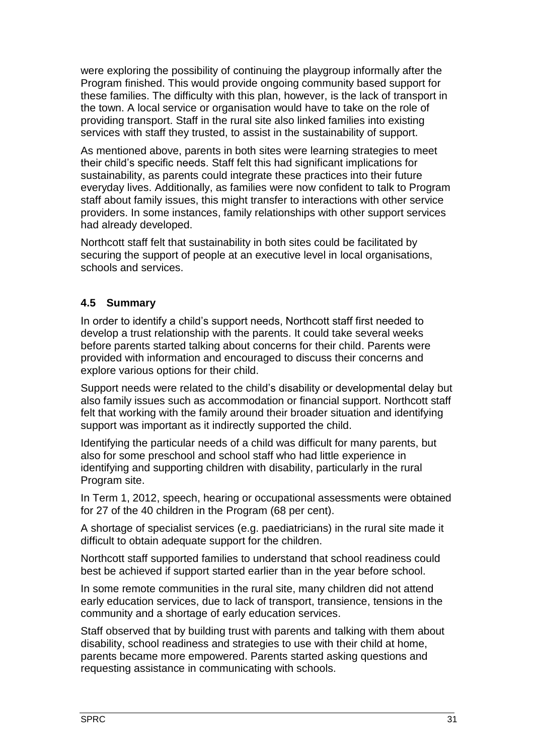were exploring the possibility of continuing the playgroup informally after the Program finished. This would provide ongoing community based support for these families. The difficulty with this plan, however, is the lack of transport in the town. A local service or organisation would have to take on the role of providing transport. Staff in the rural site also linked families into existing services with staff they trusted, to assist in the sustainability of support.

As mentioned above, parents in both sites were learning strategies to meet their child's specific needs. Staff felt this had significant implications for sustainability, as parents could integrate these practices into their future everyday lives. Additionally, as families were now confident to talk to Program staff about family issues, this might transfer to interactions with other service providers. In some instances, family relationships with other support services had already developed.

Northcott staff felt that sustainability in both sites could be facilitated by securing the support of people at an executive level in local organisations, schools and services.

## <span id="page-35-0"></span>**4.5 Summary**

In order to identify a child's support needs, Northcott staff first needed to develop a trust relationship with the parents. It could take several weeks before parents started talking about concerns for their child. Parents were provided with information and encouraged to discuss their concerns and explore various options for their child.

Support needs were related to the child's disability or developmental delay but also family issues such as accommodation or financial support. Northcott staff felt that working with the family around their broader situation and identifying support was important as it indirectly supported the child.

Identifying the particular needs of a child was difficult for many parents, but also for some preschool and school staff who had little experience in identifying and supporting children with disability, particularly in the rural Program site.

In Term 1, 2012, speech, hearing or occupational assessments were obtained for 27 of the 40 children in the Program (68 per cent).

A shortage of specialist services (e.g. paediatricians) in the rural site made it difficult to obtain adequate support for the children.

Northcott staff supported families to understand that school readiness could best be achieved if support started earlier than in the year before school.

In some remote communities in the rural site, many children did not attend early education services, due to lack of transport, transience, tensions in the community and a shortage of early education services.

Staff observed that by building trust with parents and talking with them about disability, school readiness and strategies to use with their child at home, parents became more empowered. Parents started asking questions and requesting assistance in communicating with schools.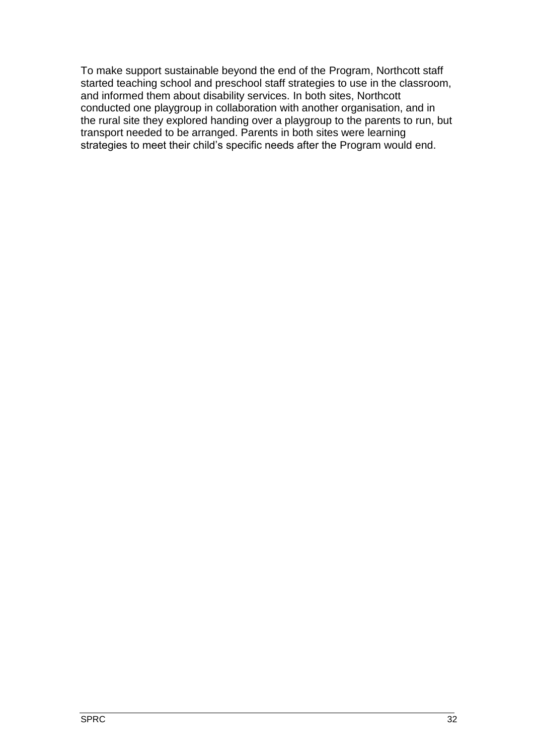To make support sustainable beyond the end of the Program, Northcott staff started teaching school and preschool staff strategies to use in the classroom, and informed them about disability services. In both sites, Northcott conducted one playgroup in collaboration with another organisation, and in the rural site they explored handing over a playgroup to the parents to run, but transport needed to be arranged. Parents in both sites were learning strategies to meet their child's specific needs after the Program would end.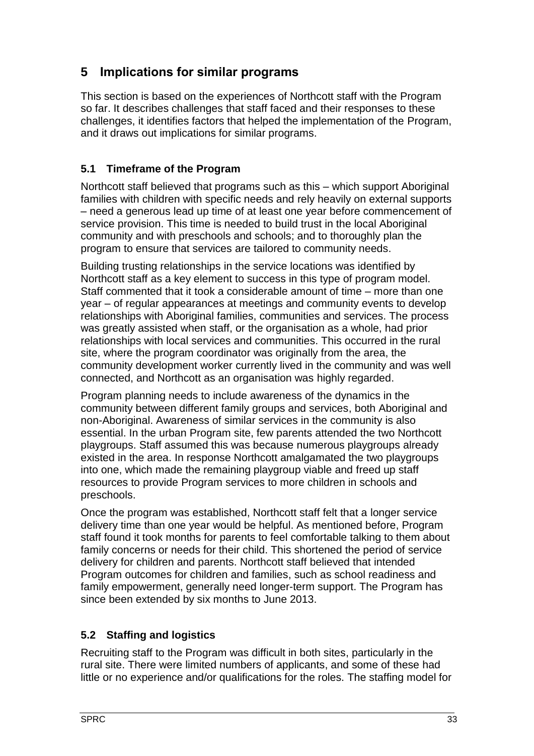# <span id="page-37-0"></span>**5 Implications for similar programs**

This section is based on the experiences of Northcott staff with the Program so far. It describes challenges that staff faced and their responses to these challenges, it identifies factors that helped the implementation of the Program, and it draws out implications for similar programs.

## <span id="page-37-1"></span>**5.1 Timeframe of the Program**

Northcott staff believed that programs such as this – which support Aboriginal families with children with specific needs and rely heavily on external supports – need a generous lead up time of at least one year before commencement of service provision. This time is needed to build trust in the local Aboriginal community and with preschools and schools; and to thoroughly plan the program to ensure that services are tailored to community needs.

Building trusting relationships in the service locations was identified by Northcott staff as a key element to success in this type of program model. Staff commented that it took a considerable amount of time – more than one year – of regular appearances at meetings and community events to develop relationships with Aboriginal families, communities and services. The process was greatly assisted when staff, or the organisation as a whole, had prior relationships with local services and communities. This occurred in the rural site, where the program coordinator was originally from the area, the community development worker currently lived in the community and was well connected, and Northcott as an organisation was highly regarded.

Program planning needs to include awareness of the dynamics in the community between different family groups and services, both Aboriginal and non-Aboriginal. Awareness of similar services in the community is also essential. In the urban Program site, few parents attended the two Northcott playgroups. Staff assumed this was because numerous playgroups already existed in the area. In response Northcott amalgamated the two playgroups into one, which made the remaining playgroup viable and freed up staff resources to provide Program services to more children in schools and preschools.

Once the program was established, Northcott staff felt that a longer service delivery time than one year would be helpful. As mentioned before, Program staff found it took months for parents to feel comfortable talking to them about family concerns or needs for their child. This shortened the period of service delivery for children and parents. Northcott staff believed that intended Program outcomes for children and families, such as school readiness and family empowerment, generally need longer-term support. The Program has since been extended by six months to June 2013.

# <span id="page-37-2"></span>**5.2 Staffing and logistics**

Recruiting staff to the Program was difficult in both sites, particularly in the rural site. There were limited numbers of applicants, and some of these had little or no experience and/or qualifications for the roles. The staffing model for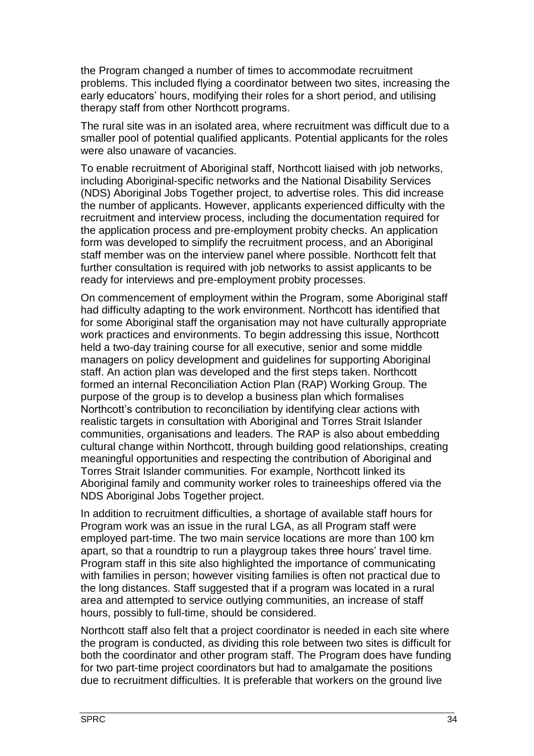the Program changed a number of times to accommodate recruitment problems. This included flying a coordinator between two sites, increasing the early educators' hours, modifying their roles for a short period, and utilising therapy staff from other Northcott programs.

The rural site was in an isolated area, where recruitment was difficult due to a smaller pool of potential qualified applicants. Potential applicants for the roles were also unaware of vacancies.

To enable recruitment of Aboriginal staff, Northcott liaised with job networks, including Aboriginal-specific networks and the National Disability Services (NDS) Aboriginal Jobs Together project, to advertise roles. This did increase the number of applicants. However, applicants experienced difficulty with the recruitment and interview process, including the documentation required for the application process and pre-employment probity checks. An application form was developed to simplify the recruitment process, and an Aboriginal staff member was on the interview panel where possible. Northcott felt that further consultation is required with job networks to assist applicants to be ready for interviews and pre-employment probity processes.

On commencement of employment within the Program, some Aboriginal staff had difficulty adapting to the work environment. Northcott has identified that for some Aboriginal staff the organisation may not have culturally appropriate work practices and environments. To begin addressing this issue, Northcott held a two-day training course for all executive, senior and some middle managers on policy development and guidelines for supporting Aboriginal staff. An action plan was developed and the first steps taken. Northcott formed an internal Reconciliation Action Plan (RAP) Working Group. The purpose of the group is to develop a business plan which formalises Northcott's contribution to reconciliation by identifying clear actions with realistic targets in consultation with Aboriginal and Torres Strait Islander communities, organisations and leaders. The RAP is also about embedding cultural change within Northcott, through building good relationships, creating meaningful opportunities and respecting the contribution of Aboriginal and Torres Strait Islander communities. For example, Northcott linked its Aboriginal family and community worker roles to traineeships offered via the NDS Aboriginal Jobs Together project.

In addition to recruitment difficulties, a shortage of available staff hours for Program work was an issue in the rural LGA, as all Program staff were employed part-time. The two main service locations are more than 100 km apart, so that a roundtrip to run a playgroup takes three hours' travel time. Program staff in this site also highlighted the importance of communicating with families in person; however visiting families is often not practical due to the long distances. Staff suggested that if a program was located in a rural area and attempted to service outlying communities, an increase of staff hours, possibly to full-time, should be considered.

Northcott staff also felt that a project coordinator is needed in each site where the program is conducted, as dividing this role between two sites is difficult for both the coordinator and other program staff. The Program does have funding for two part-time project coordinators but had to amalgamate the positions due to recruitment difficulties. It is preferable that workers on the ground live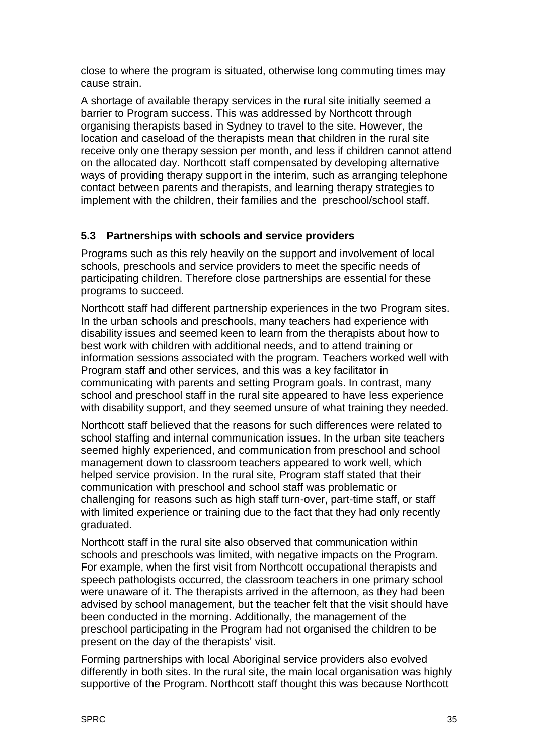close to where the program is situated, otherwise long commuting times may cause strain.

A shortage of available therapy services in the rural site initially seemed a barrier to Program success. This was addressed by Northcott through organising therapists based in Sydney to travel to the site. However, the location and caseload of the therapists mean that children in the rural site receive only one therapy session per month, and less if children cannot attend on the allocated day. Northcott staff compensated by developing alternative ways of providing therapy support in the interim, such as arranging telephone contact between parents and therapists, and learning therapy strategies to implement with the children, their families and the preschool/school staff.

## <span id="page-39-0"></span>**5.3 Partnerships with schools and service providers**

Programs such as this rely heavily on the support and involvement of local schools, preschools and service providers to meet the specific needs of participating children. Therefore close partnerships are essential for these programs to succeed.

Northcott staff had different partnership experiences in the two Program sites. In the urban schools and preschools, many teachers had experience with disability issues and seemed keen to learn from the therapists about how to best work with children with additional needs, and to attend training or information sessions associated with the program. Teachers worked well with Program staff and other services, and this was a key facilitator in communicating with parents and setting Program goals. In contrast, many school and preschool staff in the rural site appeared to have less experience with disability support, and they seemed unsure of what training they needed.

Northcott staff believed that the reasons for such differences were related to school staffing and internal communication issues. In the urban site teachers seemed highly experienced, and communication from preschool and school management down to classroom teachers appeared to work well, which helped service provision. In the rural site, Program staff stated that their communication with preschool and school staff was problematic or challenging for reasons such as high staff turn-over, part-time staff, or staff with limited experience or training due to the fact that they had only recently graduated.

Northcott staff in the rural site also observed that communication within schools and preschools was limited, with negative impacts on the Program. For example, when the first visit from Northcott occupational therapists and speech pathologists occurred, the classroom teachers in one primary school were unaware of it. The therapists arrived in the afternoon, as they had been advised by school management, but the teacher felt that the visit should have been conducted in the morning. Additionally, the management of the preschool participating in the Program had not organised the children to be present on the day of the therapists' visit.

Forming partnerships with local Aboriginal service providers also evolved differently in both sites. In the rural site, the main local organisation was highly supportive of the Program. Northcott staff thought this was because Northcott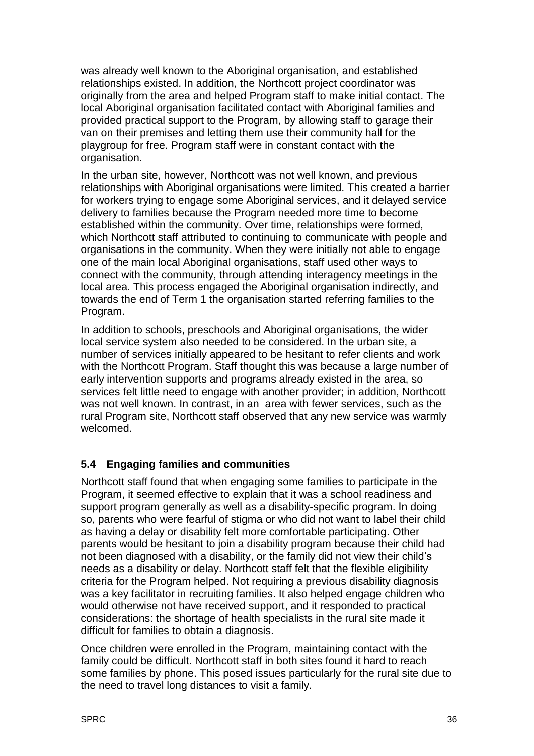was already well known to the Aboriginal organisation, and established relationships existed. In addition, the Northcott project coordinator was originally from the area and helped Program staff to make initial contact. The local Aboriginal organisation facilitated contact with Aboriginal families and provided practical support to the Program, by allowing staff to garage their van on their premises and letting them use their community hall for the playgroup for free. Program staff were in constant contact with the organisation.

In the urban site, however, Northcott was not well known, and previous relationships with Aboriginal organisations were limited. This created a barrier for workers trying to engage some Aboriginal services, and it delayed service delivery to families because the Program needed more time to become established within the community. Over time, relationships were formed, which Northcott staff attributed to continuing to communicate with people and organisations in the community. When they were initially not able to engage one of the main local Aboriginal organisations, staff used other ways to connect with the community, through attending interagency meetings in the local area. This process engaged the Aboriginal organisation indirectly, and towards the end of Term 1 the organisation started referring families to the Program.

In addition to schools, preschools and Aboriginal organisations, the wider local service system also needed to be considered. In the urban site, a number of services initially appeared to be hesitant to refer clients and work with the Northcott Program. Staff thought this was because a large number of early intervention supports and programs already existed in the area, so services felt little need to engage with another provider; in addition, Northcott was not well known. In contrast, in an area with fewer services, such as the rural Program site, Northcott staff observed that any new service was warmly welcomed.

## <span id="page-40-0"></span>**5.4 Engaging families and communities**

Northcott staff found that when engaging some families to participate in the Program, it seemed effective to explain that it was a school readiness and support program generally as well as a disability-specific program. In doing so, parents who were fearful of stigma or who did not want to label their child as having a delay or disability felt more comfortable participating. Other parents would be hesitant to join a disability program because their child had not been diagnosed with a disability, or the family did not view their child's needs as a disability or delay. Northcott staff felt that the flexible eligibility criteria for the Program helped. Not requiring a previous disability diagnosis was a key facilitator in recruiting families. It also helped engage children who would otherwise not have received support, and it responded to practical considerations: the shortage of health specialists in the rural site made it difficult for families to obtain a diagnosis.

Once children were enrolled in the Program, maintaining contact with the family could be difficult. Northcott staff in both sites found it hard to reach some families by phone. This posed issues particularly for the rural site due to the need to travel long distances to visit a family.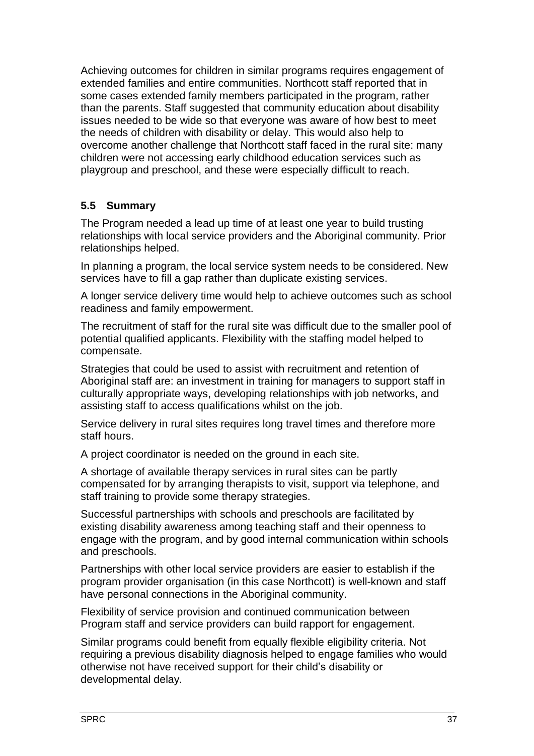Achieving outcomes for children in similar programs requires engagement of extended families and entire communities. Northcott staff reported that in some cases extended family members participated in the program, rather than the parents. Staff suggested that community education about disability issues needed to be wide so that everyone was aware of how best to meet the needs of children with disability or delay. This would also help to overcome another challenge that Northcott staff faced in the rural site: many children were not accessing early childhood education services such as playgroup and preschool, and these were especially difficult to reach.

## <span id="page-41-0"></span>**5.5 Summary**

The Program needed a lead up time of at least one year to build trusting relationships with local service providers and the Aboriginal community. Prior relationships helped.

In planning a program, the local service system needs to be considered. New services have to fill a gap rather than duplicate existing services.

A longer service delivery time would help to achieve outcomes such as school readiness and family empowerment.

The recruitment of staff for the rural site was difficult due to the smaller pool of potential qualified applicants. Flexibility with the staffing model helped to compensate.

Strategies that could be used to assist with recruitment and retention of Aboriginal staff are: an investment in training for managers to support staff in culturally appropriate ways, developing relationships with job networks, and assisting staff to access qualifications whilst on the job.

Service delivery in rural sites requires long travel times and therefore more staff hours.

A project coordinator is needed on the ground in each site.

A shortage of available therapy services in rural sites can be partly compensated for by arranging therapists to visit, support via telephone, and staff training to provide some therapy strategies.

Successful partnerships with schools and preschools are facilitated by existing disability awareness among teaching staff and their openness to engage with the program, and by good internal communication within schools and preschools.

Partnerships with other local service providers are easier to establish if the program provider organisation (in this case Northcott) is well-known and staff have personal connections in the Aboriginal community.

Flexibility of service provision and continued communication between Program staff and service providers can build rapport for engagement.

Similar programs could benefit from equally flexible eligibility criteria. Not requiring a previous disability diagnosis helped to engage families who would otherwise not have received support for their child's disability or developmental delay.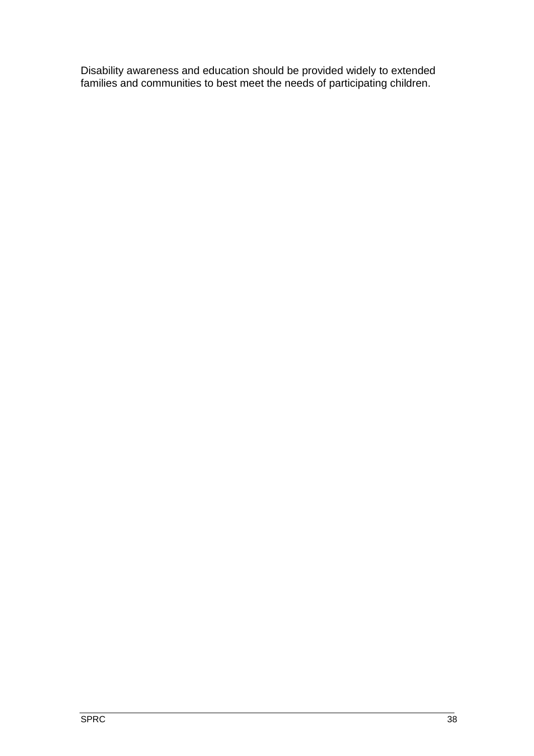Disability awareness and education should be provided widely to extended families and communities to best meet the needs of participating children.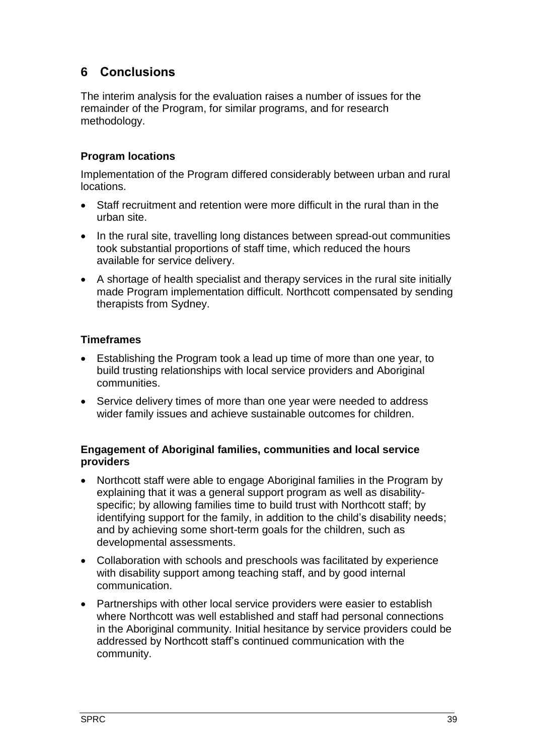# <span id="page-43-0"></span>**6 Conclusions**

The interim analysis for the evaluation raises a number of issues for the remainder of the Program, for similar programs, and for research methodology.

## **Program locations**

Implementation of the Program differed considerably between urban and rural locations.

- Staff recruitment and retention were more difficult in the rural than in the urban site.
- In the rural site, travelling long distances between spread-out communities took substantial proportions of staff time, which reduced the hours available for service delivery.
- A shortage of health specialist and therapy services in the rural site initially made Program implementation difficult. Northcott compensated by sending therapists from Sydney.

#### **Timeframes**

- Establishing the Program took a lead up time of more than one year, to build trusting relationships with local service providers and Aboriginal communities.
- Service delivery times of more than one year were needed to address wider family issues and achieve sustainable outcomes for children.

#### **Engagement of Aboriginal families, communities and local service providers**

- Northcott staff were able to engage Aboriginal families in the Program by explaining that it was a general support program as well as disabilityspecific; by allowing families time to build trust with Northcott staff; by identifying support for the family, in addition to the child's disability needs; and by achieving some short-term goals for the children, such as developmental assessments.
- Collaboration with schools and preschools was facilitated by experience with disability support among teaching staff, and by good internal communication.
- Partnerships with other local service providers were easier to establish where Northcott was well established and staff had personal connections in the Aboriginal community. Initial hesitance by service providers could be addressed by Northcott staff's continued communication with the community.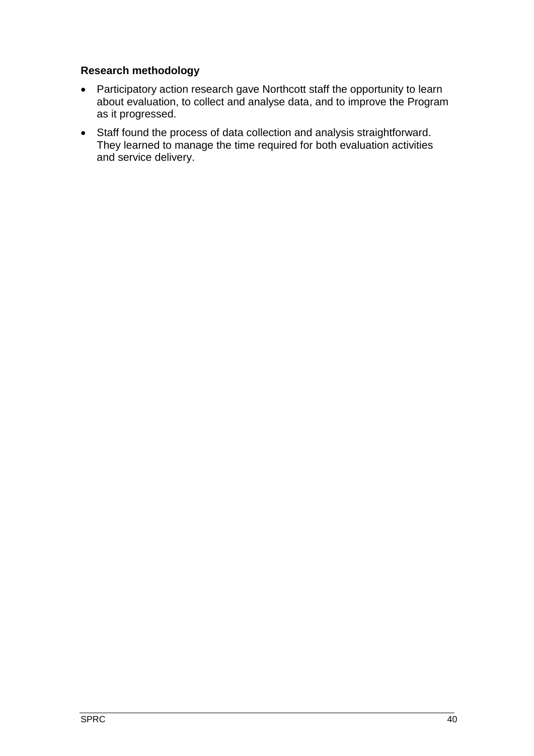#### **Research methodology**

- Participatory action research gave Northcott staff the opportunity to learn about evaluation, to collect and analyse data, and to improve the Program as it progressed.
- Staff found the process of data collection and analysis straightforward. They learned to manage the time required for both evaluation activities and service delivery.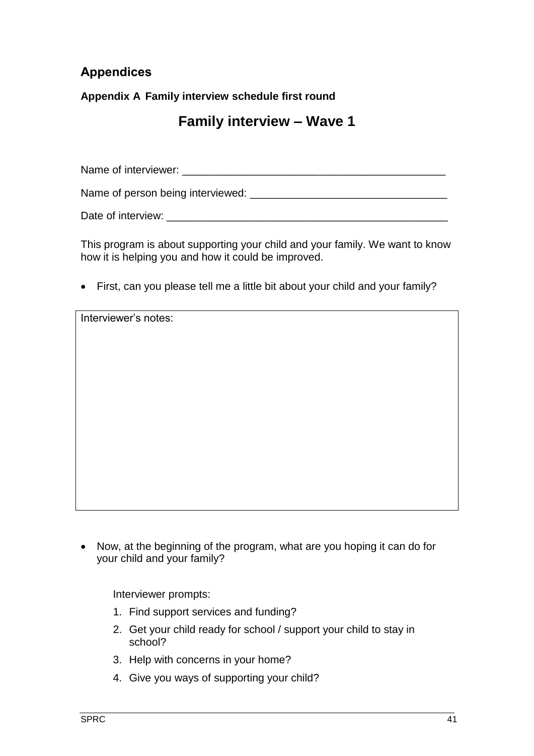# <span id="page-45-0"></span>**Appendices**

**Appendix A Family interview schedule first round** 

# **Family interview – Wave 1**

Name of interviewer: \_\_\_\_\_\_\_\_\_\_\_\_\_\_\_\_\_\_\_\_\_\_\_\_\_\_\_\_\_\_\_\_\_\_\_\_\_\_\_\_\_\_\_\_

Name of person being interviewed: \_\_\_\_\_\_\_\_\_\_\_\_\_\_\_\_\_\_\_\_\_\_\_\_\_\_\_\_\_\_\_\_\_

Date of interview:  $\Box$ 

This program is about supporting your child and your family. We want to know how it is helping you and how it could be improved.

First, can you please tell me a little bit about your child and your family?

Interviewer's notes:

• Now, at the beginning of the program, what are you hoping it can do for your child and your family?

Interviewer prompts:

- 1. Find support services and funding?
- 2. Get your child ready for school / support your child to stay in school?
- 3. Help with concerns in your home?
- 4. Give you ways of supporting your child?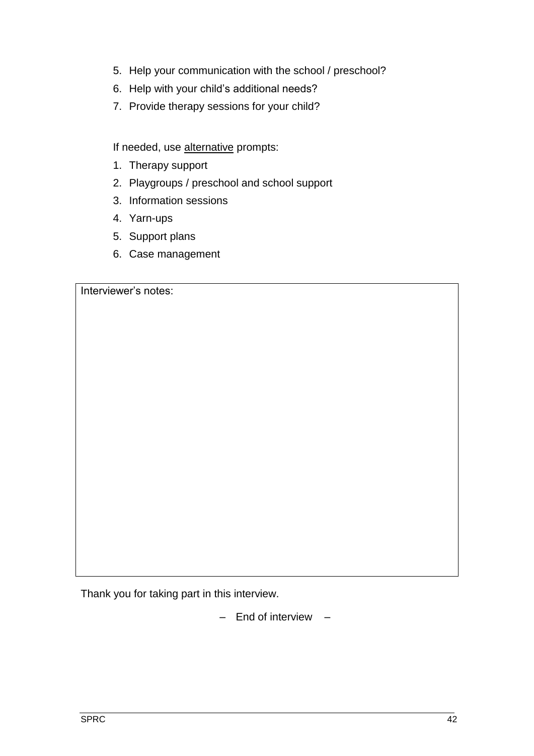- 5. Help your communication with the school / preschool?
- 6. Help with your child's additional needs?
- 7. Provide therapy sessions for your child?

If needed, use alternative prompts:

- 1. Therapy support
- 2. Playgroups / preschool and school support
- 3. Information sessions
- 4. Yarn-ups
- 5. Support plans
- 6. Case management

Interviewer's notes:

Thank you for taking part in this interview.

– End of interview –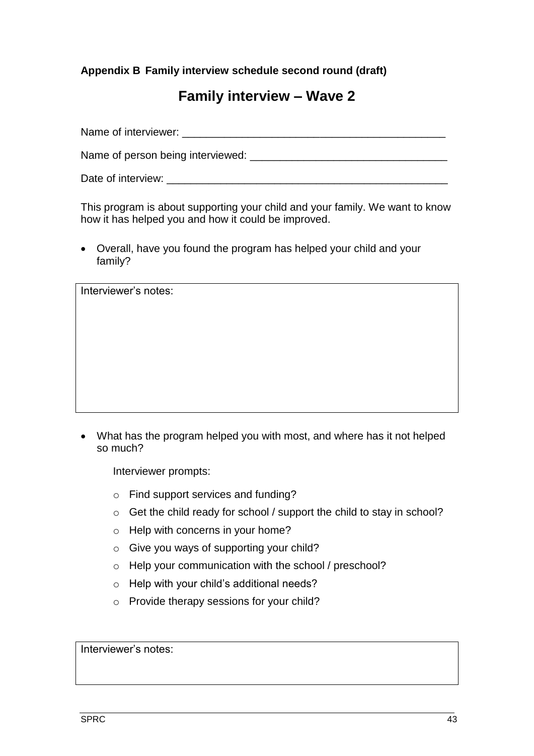**Appendix B Family interview schedule second round (draft)**

# **Family interview – Wave 2**

Name of interviewer: \_\_\_\_\_\_\_\_\_\_\_\_\_\_\_\_\_\_\_\_\_\_\_\_\_\_\_\_\_\_\_\_\_\_\_\_\_\_\_\_\_\_\_\_

Name of person being interviewed:  $\blacksquare$ 

Date of interview:  $\Box$ 

This program is about supporting your child and your family. We want to know how it has helped you and how it could be improved.

 Overall, have you found the program has helped your child and your family?

Interviewer's notes:

 What has the program helped you with most, and where has it not helped so much?

Interviewer prompts:

- o Find support services and funding?
- o Get the child ready for school / support the child to stay in school?
- o Help with concerns in your home?
- o Give you ways of supporting your child?
- o Help your communication with the school / preschool?
- o Help with your child's additional needs?
- o Provide therapy sessions for your child?

Interviewer's notes: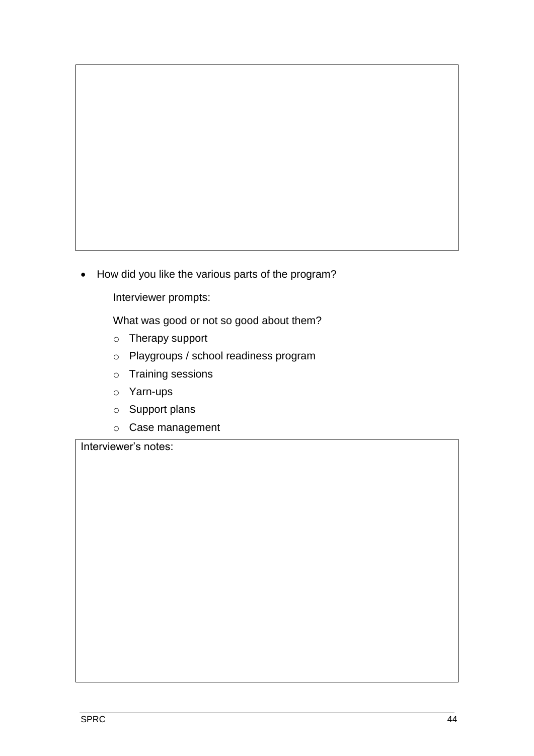• How did you like the various parts of the program?

Interviewer prompts:

What was good or not so good about them?

- o Therapy support
- o Playgroups / school readiness program
- o Training sessions
- o Yarn-ups
- o Support plans
- o Case management

Interviewer's notes: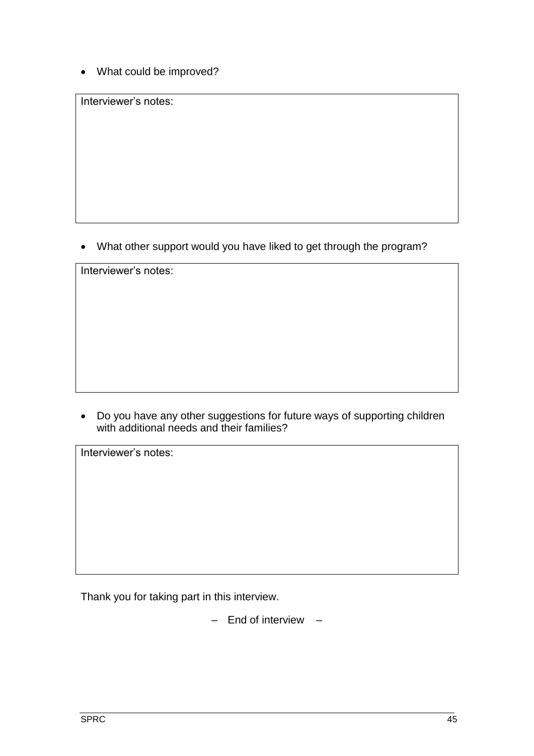What could be improved?

Interviewer's notes:

What other support would you have liked to get through the program?

Interviewer's notes:

 Do you have any other suggestions for future ways of supporting children with additional needs and their families?

Interviewer's notes:

Thank you for taking part in this interview.

– End of interview –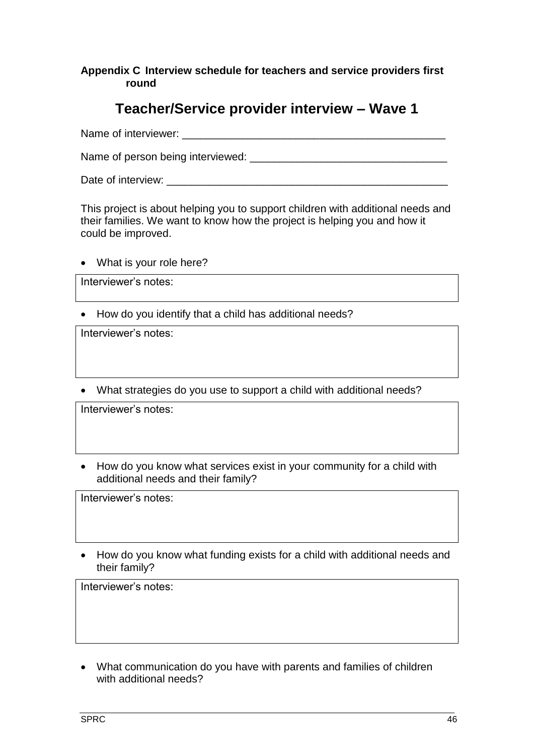#### **Appendix C Interview schedule for teachers and service providers first round**

# **Teacher/Service provider interview – Wave 1**

Name of interviewer:  $\blacksquare$ 

Name of person being interviewed: \_\_\_\_\_\_\_\_\_\_\_\_\_\_\_\_\_\_\_\_\_\_\_\_\_\_\_\_\_\_\_\_\_

Date of interview:  $\Box$ 

This project is about helping you to support children with additional needs and their families. We want to know how the project is helping you and how it could be improved.

What is your role here?

Interviewer's notes:

• How do you identify that a child has additional needs?

Interviewer's notes:

What strategies do you use to support a child with additional needs?

Interviewer's notes:

• How do you know what services exist in your community for a child with additional needs and their family?

Interviewer's notes:

 How do you know what funding exists for a child with additional needs and their family?

Interviewer's notes:

 What communication do you have with parents and families of children with additional needs?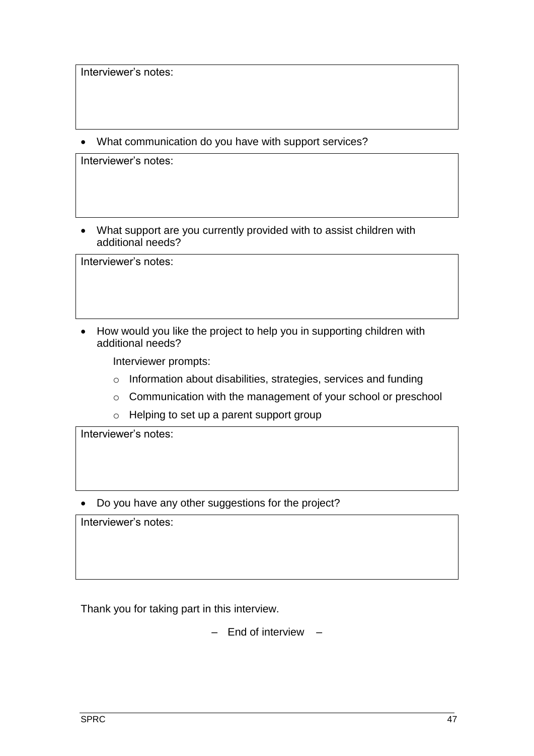Interviewer's notes:

What communication do you have with support services?

Interviewer's notes:

 What support are you currently provided with to assist children with additional needs?

Interviewer's notes:

• How would you like the project to help you in supporting children with additional needs?

Interviewer prompts:

- o Information about disabilities, strategies, services and funding
- o Communication with the management of your school or preschool
- o Helping to set up a parent support group

Interviewer's notes:

Do you have any other suggestions for the project?

Interviewer's notes:

Thank you for taking part in this interview.

– End of interview –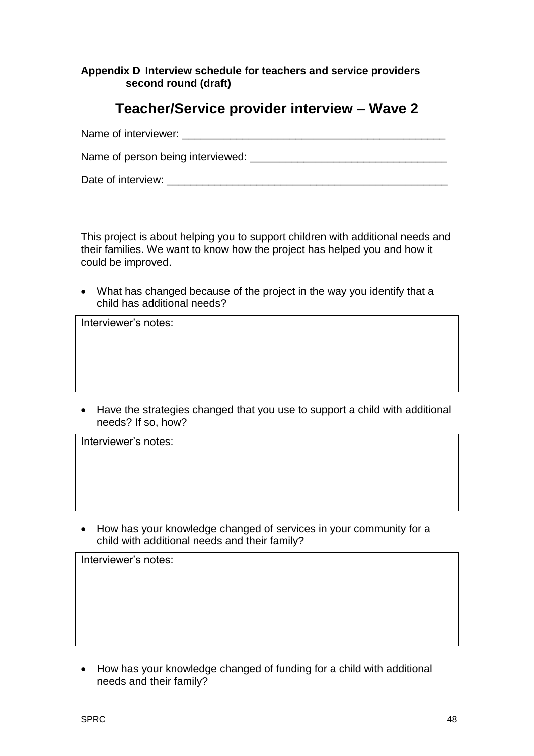#### **Appendix D Interview schedule for teachers and service providers second round (draft)**

# **Teacher/Service provider interview – Wave 2**

| Name of interviewer:              |  |
|-----------------------------------|--|
| Name of person being interviewed: |  |
| Date of interview:                |  |

This project is about helping you to support children with additional needs and their families. We want to know how the project has helped you and how it could be improved.

 What has changed because of the project in the way you identify that a child has additional needs?

Interviewer's notes:

 Have the strategies changed that you use to support a child with additional needs? If so, how?

Interviewer's notes:

• How has your knowledge changed of services in your community for a child with additional needs and their family?

Interviewer's notes:

• How has your knowledge changed of funding for a child with additional needs and their family?